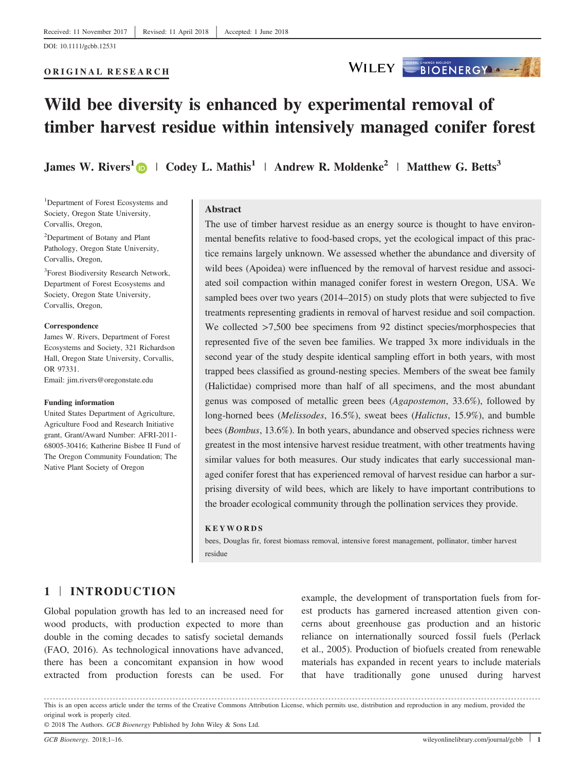#### **ORIGINAL RESEARCH**



# **Wild bee diversity is enhanced by experimental removal of timber harvest residue within intensively managed conifer forest**

**James W. Rivers<sup>1</sup>** | **Codey L. Mathis<sup>1</sup>** | **Andrew R. Moldenke<sup>2</sup>** | **Matthew G. Betts<sup>3</sup>**

1 Department of Forest Ecosystems and Society, Oregon State University, Corvallis, Oregon,

2 Department of Botany and Plant Pathology, Oregon State University, Corvallis, Oregon,

<sup>3</sup>Forest Biodiversity Research Network, Department of Forest Ecosystems and Society, Oregon State University, Corvallis, Oregon,

#### **Correspondence**

James W. Rivers, Department of Forest Ecosystems and Society, 321 Richardson Hall, Oregon State University, Corvallis, OR 97331. Email: [jim.rivers@oregonstate.edu](mailto:)

#### **Funding information**

United States Department of Agriculture, Agriculture Food and Research Initiative grant, Grant/Award Number: AFRI-2011- 68005-30416; Katherine Bisbee II Fund of The Oregon Community Foundation; The Native Plant Society of Oregon

### **Abstract**

The use of timber harvest residue as an energy source is thought to have environmental benefits relative to food-based crops, yet the ecological impact of this practice remains largely unknown. We assessed whether the abundance and diversity of wild bees (Apoidea) were influenced by the removal of harvest residue and associated soil compaction within managed conifer forest in western Oregon, USA. We sampled bees over two years (2014–2015) on study plots that were subjected to five treatments representing gradients in removal of harvest residue and soil compaction. We collected  $>7,500$  bee specimens from 92 distinct species/morphospecies that represented five of the seven bee families. We trapped 3x more individuals in the second year of the study despite identical sampling effort in both years, with most trapped bees classified as ground‐nesting species. Members of the sweat bee family (Halictidae) comprised more than half of all specimens, and the most abundant genus was composed of metallic green bees (*Agapostemon*, 33.6%), followed by long‐horned bees (*Melissodes*, 16.5%), sweat bees (*Halictus*, 15.9%), and bumble bees (*Bombus*, 13.6%). In both years, abundance and observed species richness were greatest in the most intensive harvest residue treatment, with other treatments having similar values for both measures. Our study indicates that early successional managed conifer forest that has experienced removal of harvest residue can harbor a surprising diversity of wild bees, which are likely to have important contributions to the broader ecological community through the pollination services they provide.

#### **KEYWORDS**

bees, Douglas fir, forest biomass removal, intensive forest management, pollinator, timber harvest residue

# **1** | **INTRODUCTION**

Global population growth has led to an increased need for wood products, with production expected to more than double in the coming decades to satisfy societal demands (FAO, 2016). As technological innovations have advanced, there has been a concomitant expansion in how wood extracted from production forests can be used. For

example, the development of transportation fuels from forest products has garnered increased attention given concerns about greenhouse gas production and an historic reliance on internationally sourced fossil fuels (Perlack et al., 2005). Production of biofuels created from renewable materials has expanded in recent years to include materials that have traditionally gone unused during harvest

© 2018 The Authors. *GCB Bioenergy* Published by John Wiley & Sons Ltd.

This is an open access article under the terms of the [Creative Commons Attribution](http://creativecommons.org/licenses/by/4.0/) License, which permits use, distribution and reproduction in any medium, provided the original work is properly cited.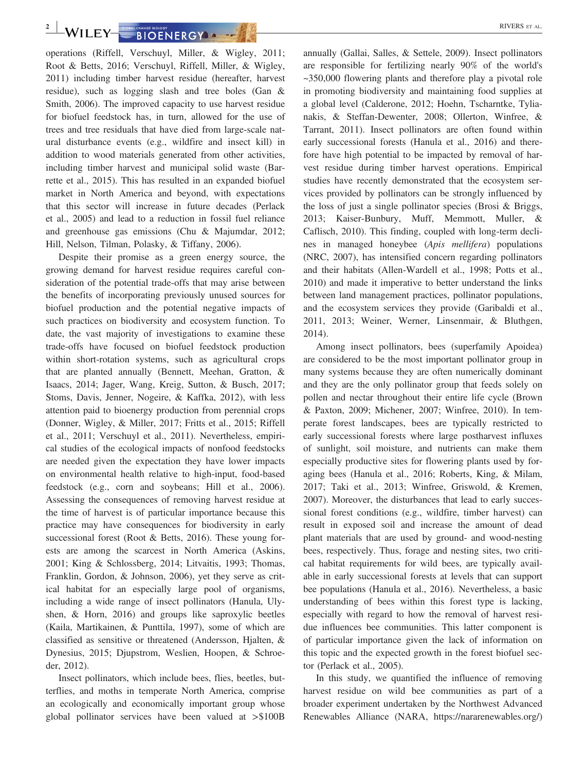**2** | WILEY | **BIOENERGY & PROPER COMPANY | RIVERS** ET AL.

operations (Riffell, Verschuyl, Miller, & Wigley, 2011; Root & Betts, 2016; Verschuyl, Riffell, Miller, & Wigley, 2011) including timber harvest residue (hereafter, harvest residue), such as logging slash and tree boles (Gan & Smith, 2006). The improved capacity to use harvest residue for biofuel feedstock has, in turn, allowed for the use of trees and tree residuals that have died from large‐scale natural disturbance events (e.g., wildfire and insect kill) in addition to wood materials generated from other activities, including timber harvest and municipal solid waste (Barrette et al., 2015). This has resulted in an expanded biofuel market in North America and beyond, with expectations that this sector will increase in future decades (Perlack et al., 2005) and lead to a reduction in fossil fuel reliance and greenhouse gas emissions (Chu & Majumdar, 2012; Hill, Nelson, Tilman, Polasky, & Tiffany, 2006).

Despite their promise as a green energy source, the growing demand for harvest residue requires careful consideration of the potential trade‐offs that may arise between the benefits of incorporating previously unused sources for biofuel production and the potential negative impacts of such practices on biodiversity and ecosystem function. To date, the vast majority of investigations to examine these trade‐offs have focused on biofuel feedstock production within short-rotation systems, such as agricultural crops that are planted annually (Bennett, Meehan, Gratton, & Isaacs, 2014; Jager, Wang, Kreig, Sutton, & Busch, 2017; Stoms, Davis, Jenner, Nogeire, & Kaffka, 2012), with less attention paid to bioenergy production from perennial crops (Donner, Wigley, & Miller, 2017; Fritts et al., 2015; Riffell et al., 2011; Verschuyl et al., 2011). Nevertheless, empirical studies of the ecological impacts of nonfood feedstocks are needed given the expectation they have lower impacts on environmental health relative to high‐input, food‐based feedstock (e.g., corn and soybeans; Hill et al., 2006). Assessing the consequences of removing harvest residue at the time of harvest is of particular importance because this practice may have consequences for biodiversity in early successional forest (Root & Betts, 2016). These young forests are among the scarcest in North America (Askins, 2001; King & Schlossberg, 2014; Litvaitis, 1993; Thomas, Franklin, Gordon, & Johnson, 2006), yet they serve as critical habitat for an especially large pool of organisms, including a wide range of insect pollinators (Hanula, Ulyshen, & Horn, 2016) and groups like saproxylic beetles (Kaila, Martikainen, & Punttila, 1997), some of which are classified as sensitive or threatened (Andersson, Hjalten, & Dynesius, 2015; Djupstrom, Weslien, Hoopen, & Schroeder, 2012).

Insect pollinators, which include bees, flies, beetles, butterflies, and moths in temperate North America, comprise an ecologically and economically important group whose global pollinator services have been valued at >\$100B annually (Gallai, Salles, & Settele, 2009). Insect pollinators are responsible for fertilizing nearly 90% of the world's ~350,000 flowering plants and therefore play a pivotal role in promoting biodiversity and maintaining food supplies at a global level (Calderone, 2012; Hoehn, Tscharntke, Tylianakis, & Steffan‐Dewenter, 2008; Ollerton, Winfree, & Tarrant, 2011). Insect pollinators are often found within early successional forests (Hanula et al., 2016) and therefore have high potential to be impacted by removal of harvest residue during timber harvest operations. Empirical studies have recently demonstrated that the ecosystem services provided by pollinators can be strongly influenced by the loss of just a single pollinator species (Brosi & Briggs, 2013; Kaiser‐Bunbury, Muff, Memmott, Muller, & Caflisch, 2010). This finding, coupled with long‐term declines in managed honeybee (*Apis mellifera*) populations (NRC, 2007), has intensified concern regarding pollinators and their habitats (Allen‐Wardell et al., 1998; Potts et al., 2010) and made it imperative to better understand the links between land management practices, pollinator populations, and the ecosystem services they provide (Garibaldi et al., 2011, 2013; Weiner, Werner, Linsenmair, & Bluthgen, 2014).

Among insect pollinators, bees (superfamily Apoidea) are considered to be the most important pollinator group in many systems because they are often numerically dominant and they are the only pollinator group that feeds solely on pollen and nectar throughout their entire life cycle (Brown & Paxton, 2009; Michener, 2007; Winfree, 2010). In temperate forest landscapes, bees are typically restricted to early successional forests where large postharvest influxes of sunlight, soil moisture, and nutrients can make them especially productive sites for flowering plants used by foraging bees (Hanula et al., 2016; Roberts, King, & Milam, 2017; Taki et al., 2013; Winfree, Griswold, & Kremen, 2007). Moreover, the disturbances that lead to early successional forest conditions (e.g., wildfire, timber harvest) can result in exposed soil and increase the amount of dead plant materials that are used by ground‐ and wood‐nesting bees, respectively. Thus, forage and nesting sites, two critical habitat requirements for wild bees, are typically available in early successional forests at levels that can support bee populations (Hanula et al., 2016). Nevertheless, a basic understanding of bees within this forest type is lacking, especially with regard to how the removal of harvest residue influences bee communities. This latter component is of particular importance given the lack of information on this topic and the expected growth in the forest biofuel sector (Perlack et al., 2005).

In this study, we quantified the influence of removing harvest residue on wild bee communities as part of a broader experiment undertaken by the Northwest Advanced Renewables Alliance (NARA,<https://nararenewables.org/>)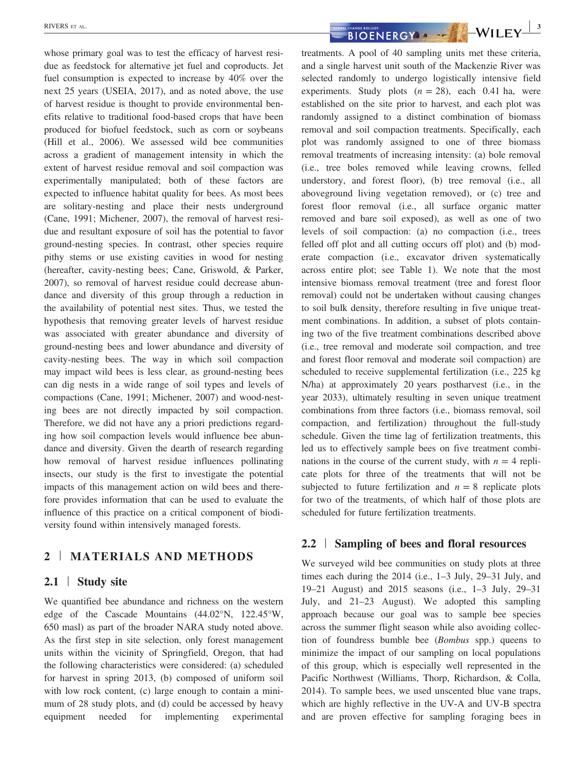whose primary goal was to test the efficacy of harvest residue as feedstock for alternative jet fuel and coproducts. Jet fuel consumption is expected to increase by 40% over the next 25 years (USEIA, 2017), and as noted above, the use of harvest residue is thought to provide environmental benefits relative to traditional food‐based crops that have been produced for biofuel feedstock, such as corn or soybeans (Hill et al., 2006). We assessed wild bee communities across a gradient of management intensity in which the extent of harvest residue removal and soil compaction was experimentally manipulated; both of these factors are expected to influence habitat quality for bees. As most bees are solitary‐nesting and place their nests underground (Cane, 1991; Michener, 2007), the removal of harvest residue and resultant exposure of soil has the potential to favor ground‐nesting species. In contrast, other species require pithy stems or use existing cavities in wood for nesting (hereafter, cavity‐nesting bees; Cane, Griswold, & Parker, 2007), so removal of harvest residue could decrease abundance and diversity of this group through a reduction in the availability of potential nest sites. Thus, we tested the hypothesis that removing greater levels of harvest residue was associated with greater abundance and diversity of ground‐nesting bees and lower abundance and diversity of cavity‐nesting bees. The way in which soil compaction may impact wild bees is less clear, as ground‐nesting bees can dig nests in a wide range of soil types and levels of compactions (Cane, 1991; Michener, 2007) and wood-nesting bees are not directly impacted by soil compaction. Therefore, we did not have any a priori predictions regarding how soil compaction levels would influence bee abundance and diversity. Given the dearth of research regarding how removal of harvest residue influences pollinating insects, our study is the first to investigate the potential impacts of this management action on wild bees and therefore provides information that can be used to evaluate the influence of this practice on a critical component of biodiversity found within intensively managed forests.

# **2** | **MATERIALS AND METHODS**

### **2.1** | **Study site**

We quantified bee abundance and richness on the western edge of the Cascade Mountains (44.02°N, 122.45°W, 650 masl) as part of the broader NARA study noted above. As the first step in site selection, only forest management units within the vicinity of Springfield, Oregon, that had the following characteristics were considered: (a) scheduled for harvest in spring 2013, (b) composed of uniform soil with low rock content, (c) large enough to contain a minimum of 28 study plots, and (d) could be accessed by heavy equipment needed for implementing experimental

RIVERS ET AL.  $\overline{\text{BIOENERGY}}$   $\longrightarrow \text{WILEY}$  3

treatments. A pool of 40 sampling units met these criteria, and a single harvest unit south of the Mackenzie River was selected randomly to undergo logistically intensive field experiments. Study plots  $(n = 28)$ , each 0.41 ha, were established on the site prior to harvest, and each plot was randomly assigned to a distinct combination of biomass removal and soil compaction treatments. Specifically, each plot was randomly assigned to one of three biomass removal treatments of increasing intensity: (a) bole removal (i.e., tree boles removed while leaving crowns, felled understory, and forest floor), (b) tree removal (i.e., all aboveground living vegetation removed), or (c) tree and forest floor removal (i.e., all surface organic matter removed and bare soil exposed), as well as one of two levels of soil compaction: (a) no compaction (i.e., trees felled off plot and all cutting occurs off plot) and (b) moderate compaction (i.e., excavator driven systematically across entire plot; see Table 1). We note that the most intensive biomass removal treatment (tree and forest floor removal) could not be undertaken without causing changes to soil bulk density, therefore resulting in five unique treatment combinations. In addition, a subset of plots containing two of the five treatment combinations described above (i.e., tree removal and moderate soil compaction, and tree and forest floor removal and moderate soil compaction) are scheduled to receive supplemental fertilization (i.e., 225 kg N/ha) at approximately 20 years postharvest (i.e., in the year 2033), ultimately resulting in seven unique treatment combinations from three factors (i.e., biomass removal, soil compaction, and fertilization) throughout the full‐study schedule. Given the time lag of fertilization treatments, this led us to effectively sample bees on five treatment combinations in the course of the current study, with  $n = 4$  replicate plots for three of the treatments that will not be subjected to future fertilization and  $n = 8$  replicate plots for two of the treatments, of which half of those plots are scheduled for future fertilization treatments.

# **2.2** | **Sampling of bees and floral resources**

We surveyed wild bee communities on study plots at three times each during the 2014 (i.e., 1–3 July, 29–31 July, and 19–21 August) and 2015 seasons (i.e., 1–3 July, 29–31 July, and 21–23 August). We adopted this sampling approach because our goal was to sample bee species across the summer flight season while also avoiding collection of foundress bumble bee (*Bombus* spp.) queens to minimize the impact of our sampling on local populations of this group, which is especially well represented in the Pacific Northwest (Williams, Thorp, Richardson, & Colla, 2014). To sample bees, we used unscented blue vane traps, which are highly reflective in the UV-A and UV-B spectra and are proven effective for sampling foraging bees in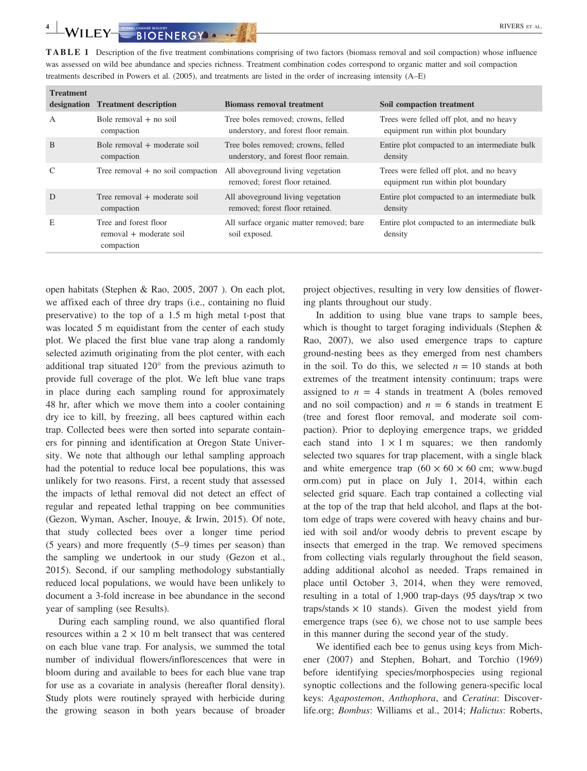**TABLE 1** Description of the five treatment combinations comprising of two factors (biomass removal and soil compaction) whose influence was assessed on wild bee abundance and species richness. Treatment combination codes correspond to organic matter and soil compaction treatments described in Powers et al. (2005), and treatments are listed in the order of increasing intensity (A–E)

| Treatment    | designation Treatment description                              | <b>Biomass removal treatment</b>                                     | Soil compaction treatment                                                      |
|--------------|----------------------------------------------------------------|----------------------------------------------------------------------|--------------------------------------------------------------------------------|
| $\mathbf{A}$ | Bole removal $+$ no soil                                       | Tree boles removed; crowns, felled                                   | Trees were felled off plot, and no heavy                                       |
|              | compaction                                                     | understory, and forest floor remain.                                 | equipment run within plot boundary                                             |
| <sup>B</sup> | Bole removal $+$ moderate soil                                 | Tree boles removed; crowns, felled                                   | Entire plot compacted to an intermediate bulk                                  |
|              | compaction                                                     | understory, and forest floor remain.                                 | density                                                                        |
| C            | Tree removal $+$ no soil compaction                            | All aboveground living vegetation<br>removed; forest floor retained. | Trees were felled off plot, and no heavy<br>equipment run within plot boundary |
| D            | Tree removal $+$ moderate soil                                 | All aboveground living vegetation                                    | Entire plot compacted to an intermediate bulk                                  |
|              | compaction                                                     | removed; forest floor retained.                                      | density                                                                        |
| E            | Tree and forest floor<br>removal + moderate soil<br>compaction | All surface organic matter removed; bare<br>soil exposed.            | Entire plot compacted to an intermediate bulk<br>density                       |

open habitats (Stephen & Rao, 2005, 2007 ). On each plot, we affixed each of three dry traps (i.e., containing no fluid preservative) to the top of a 1.5 m high metal t‐post that was located 5 m equidistant from the center of each study plot. We placed the first blue vane trap along a randomly selected azimuth originating from the plot center, with each additional trap situated 120° from the previous azimuth to provide full coverage of the plot. We left blue vane traps in place during each sampling round for approximately 48 hr, after which we move them into a cooler containing dry ice to kill, by freezing, all bees captured within each trap. Collected bees were then sorted into separate containers for pinning and identification at Oregon State University. We note that although our lethal sampling approach had the potential to reduce local bee populations, this was unlikely for two reasons. First, a recent study that assessed the impacts of lethal removal did not detect an effect of regular and repeated lethal trapping on bee communities (Gezon, Wyman, Ascher, Inouye, & Irwin, 2015). Of note, that study collected bees over a longer time period (5 years) and more frequently (5–9 times per season) than the sampling we undertook in our study (Gezon et al., 2015). Second, if our sampling methodology substantially reduced local populations, we would have been unlikely to document a 3‐fold increase in bee abundance in the second year of sampling (see Results).

During each sampling round, we also quantified floral resources within a  $2 \times 10$  m belt transect that was centered on each blue vane trap. For analysis, we summed the total number of individual flowers/inflorescences that were in bloom during and available to bees for each blue vane trap for use as a covariate in analysis (hereafter floral density). Study plots were routinely sprayed with herbicide during the growing season in both years because of broader

project objectives, resulting in very low densities of flowering plants throughout our study.

In addition to using blue vane traps to sample bees, which is thought to target foraging individuals (Stephen & Rao, 2007), we also used emergence traps to capture ground‐nesting bees as they emerged from nest chambers in the soil. To do this, we selected  $n = 10$  stands at both extremes of the treatment intensity continuum; traps were assigned to  $n = 4$  stands in treatment A (boles removed and no soil compaction) and  $n = 6$  stands in treatment E (tree and forest floor removal, and moderate soil compaction). Prior to deploying emergence traps, we gridded each stand into  $1 \times 1$  m squares; we then randomly selected two squares for trap placement, with a single black and white emergence trap  $(60 \times 60 \times 60 \text{ cm})$ ; [www.bugd](www.bugdorm.com) [orm.com](www.bugdorm.com)) put in place on July 1, 2014, within each selected grid square. Each trap contained a collecting vial at the top of the trap that held alcohol, and flaps at the bottom edge of traps were covered with heavy chains and buried with soil and/or woody debris to prevent escape by insects that emerged in the trap. We removed specimens from collecting vials regularly throughout the field season, adding additional alcohol as needed. Traps remained in place until October 3, 2014, when they were removed, resulting in a total of 1,900 trap-days (95 days/trap  $\times$  two traps/stands  $\times$  10 stands). Given the modest yield from emergence traps (see 6), we chose not to use sample bees in this manner during the second year of the study.

We identified each bee to genus using keys from Michener (2007) and Stephen, Bohart, and Torchio (1969) before identifying species/morphospecies using regional synoptic collections and the following genera-specific local keys: *Agapostemon*, *Anthophora*, and *Ceratina*: Discoverlife.org; *Bombus*: Williams et al., 2014; *Halictus*: Roberts,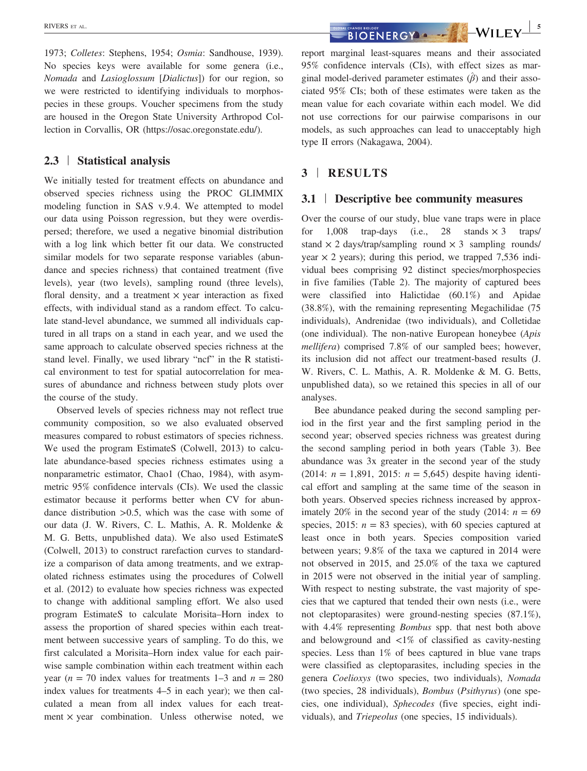1973; *Colletes*: Stephens, 1954; *Osmia*: Sandhouse, 1939). No species keys were available for some genera (i.e., *Nomada* and *Lasioglossum* [*Dialictus*]) for our region, so we were restricted to identifying individuals to morphospecies in these groups. Voucher specimens from the study are housed in the Oregon State University Arthropod Collection in Corvallis, OR [\(https://osac.oregonstate.edu/\)](https://osac.oregonstate.edu/).

### **2.3** | **Statistical analysis**

We initially tested for treatment effects on abundance and observed species richness using the PROC GLIMMIX modeling function in SAS v.9.4. We attempted to model our data using Poisson regression, but they were overdispersed; therefore, we used a negative binomial distribution with a log link which better fit our data. We constructed similar models for two separate response variables (abundance and species richness) that contained treatment (five levels), year (two levels), sampling round (three levels), floral density, and a treatment  $\times$  year interaction as fixed effects, with individual stand as a random effect. To calculate stand-level abundance, we summed all individuals captured in all traps on a stand in each year, and we used the same approach to calculate observed species richness at the stand level. Finally, we used library "ncf" in the R statistical environment to test for spatial autocorrelation for measures of abundance and richness between study plots over the course of the study.

Observed levels of species richness may not reflect true community composition, so we also evaluated observed measures compared to robust estimators of species richness. We used the program EstimateS (Colwell, 2013) to calculate abundance‐based species richness estimates using a nonparametric estimator, Chao1 (Chao, 1984), with asymmetric 95% confidence intervals (CIs). We used the classic estimator because it performs better when CV for abundance distribution  $>0.5$ , which was the case with some of our data (J. W. Rivers, C. L. Mathis, A. R. Moldenke & M. G. Betts, unpublished data). We also used EstimateS (Colwell, 2013) to construct rarefaction curves to standardize a comparison of data among treatments, and we extrapolated richness estimates using the procedures of Colwell et al. (2012) to evaluate how species richness was expected to change with additional sampling effort. We also used program EstimateS to calculate Morisita–Horn index to assess the proportion of shared species within each treatment between successive years of sampling. To do this, we first calculated a Morisita–Horn index value for each pairwise sample combination within each treatment within each year ( $n = 70$  index values for treatments 1–3 and  $n = 280$ index values for treatments 4–5 in each year); we then calculated a mean from all index values for each treatment  $\times$  year combination. Unless otherwise noted, we report marginal least‐squares means and their associated 95% confidence intervals (CIs), with effect sizes as marginal model-derived parameter estimates  $(\beta)$  and their associated 95% CIs; both of these estimates were taken as the mean value for each covariate within each model. We did not use corrections for our pairwise comparisons in our models, as such approaches can lead to unacceptably high type II errors (Nakagawa, 2004).

# **3** | **RESULTS**

#### **3.1** | **Descriptive bee community measures**

Over the course of our study, blue vane traps were in place for  $1,008$  trap-days (i.e., 28 stands  $\times$  3 traps/ stand  $\times$  2 days/trap/sampling round  $\times$  3 sampling rounds/ year  $\times$  2 years); during this period, we trapped 7,536 individual bees comprising 92 distinct species/morphospecies in five families (Table 2). The majority of captured bees were classified into Halictidae (60.1%) and Apidae (38.8%), with the remaining representing Megachilidae (75 individuals), Andrenidae (two individuals), and Colletidae (one individual). The non‐native European honeybee (*Apis mellifera*) comprised 7.8% of our sampled bees; however, its inclusion did not affect our treatment‐based results (J. W. Rivers, C. L. Mathis, A. R. Moldenke & M. G. Betts, unpublished data), so we retained this species in all of our analyses.

Bee abundance peaked during the second sampling period in the first year and the first sampling period in the second year; observed species richness was greatest during the second sampling period in both years (Table 3). Bee abundance was 3x greater in the second year of the study (2014: *n* = 1,891, 2015: *n* = 5,645) despite having identical effort and sampling at the same time of the season in both years. Observed species richness increased by approximately 20% in the second year of the study  $(2014: n = 69)$ species, 2015:  $n = 83$  species), with 60 species captured at least once in both years. Species composition varied between years; 9.8% of the taxa we captured in 2014 were not observed in 2015, and 25.0% of the taxa we captured in 2015 were not observed in the initial year of sampling. With respect to nesting substrate, the vast majority of species that we captured that tended their own nests (i.e., were not cleptoparasites) were ground‐nesting species (87.1%), with 4.4% representing *Bombus* spp. that nest both above and belowground and  $\langle 1\% \rangle$  of classified as cavity-nesting species. Less than 1% of bees captured in blue vane traps were classified as cleptoparasites, including species in the genera *Coelioxys* (two species, two individuals), *Nomada* (two species, 28 individuals), *Bombus* (*Psithyrus*) (one species, one individual), *Sphecodes* (five species, eight individuals), and *Triepeolus* (one species, 15 individuals).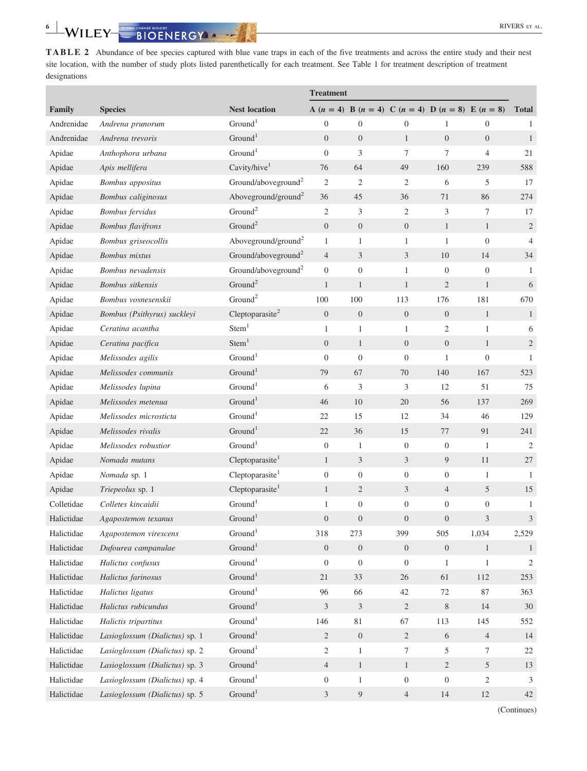**TABLE 2** Abundance of bee species captured with blue vane traps in each of the five treatments and across the entire study and their nest site location, with the number of study plots listed parenthetically for each treatment. See Table 1 for treatment description of treatment designations

|            |                                |                                 | <b>Treatment</b> |                                                             |                  |                  |                  |                |
|------------|--------------------------------|---------------------------------|------------------|-------------------------------------------------------------|------------------|------------------|------------------|----------------|
| Family     | <b>Species</b>                 | <b>Nest location</b>            |                  | A $(n = 4)$ B $(n = 4)$ C $(n = 4)$ D $(n = 8)$ E $(n = 8)$ |                  |                  |                  | <b>Total</b>   |
| Andrenidae | Andrena prunorum               | Ground <sup>1</sup>             | $\mathbf{0}$     | $\mathbf{0}$                                                | $\mathbf{0}$     | 1                | $\mathbf{0}$     | $\mathbf{1}$   |
| Andrenidae | Andrena trevoris               | Ground <sup>1</sup>             | $\mathbf{0}$     | $\mathbf{0}$                                                | $\mathbf{1}$     | $\boldsymbol{0}$ | $\mathbf{0}$     | $\mathbf{1}$   |
| Apidae     | Anthophora urbana              | Ground <sup>1</sup>             | $\theta$         | 3                                                           | 7                | 7                | $\overline{4}$   | 21             |
| Apidae     | Apis mellifera                 | Cavity/hive <sup>1</sup>        | 76               | 64                                                          | 49               | 160              | 239              | 588            |
| Apidae     | <b>Bombus</b> appositus        | Ground/aboveground <sup>2</sup> | 2                | $\mathfrak{2}$                                              | 2                | 6                | 5                | 17             |
| Apidae     | Bombus caliginosus             | Aboveground/ground <sup>2</sup> | 36               | 45                                                          | 36               | 71               | 86               | 274            |
| Apidae     | <b>Bombus</b> fervidus         | Ground <sup>2</sup>             | 2                | 3                                                           | 2                | 3                | 7                | 17             |
| Apidae     | <b>Bombus</b> flavifrons       | Ground <sup>2</sup>             | $\mathbf{0}$     | $\mathbf{0}$                                                | $\mathbf{0}$     | $\mathbf{1}$     | $\mathbf{1}$     | $\overline{2}$ |
| Apidae     | Bombus griseocollis            | Aboveground/ground <sup>2</sup> | 1                | $\mathbf{1}$                                                | $\mathbf{1}$     | 1                | $\mathbf{0}$     | $\overline{4}$ |
| Apidae     | <b>Bombus</b> mixtus           | Ground/aboveground <sup>2</sup> | $\overline{4}$   | 3                                                           | 3                | 10               | 14               | 34             |
| Apidae     | Bombus nevadensis              | Ground/aboveground <sup>2</sup> | $\mathbf{0}$     | $\boldsymbol{0}$                                            | $\mathbf{1}$     | $\boldsymbol{0}$ | $\boldsymbol{0}$ | $\mathbf{1}$   |
| Apidae     | Bombus sitkensis               | Ground <sup>2</sup>             | $\mathbf{1}$     | $\mathbf{1}$                                                | $\mathbf{1}$     | $\overline{2}$   | $\mathbf{1}$     | 6              |
| Apidae     | Bombus vosnesenskii            | Ground <sup>2</sup>             | 100              | 100                                                         | 113              | 176              | 181              | 670            |
| Apidae     | Bombus (Psithyrus) suckleyi    | Cleptoparasite <sup>2</sup>     | $\mathbf{0}$     | $\mathbf{0}$                                                | $\mathbf{0}$     | $\boldsymbol{0}$ | $\mathbf{1}$     | $\mathbf{1}$   |
| Apidae     | Ceratina acantha               | Stem <sup>1</sup>               | $\mathbf{1}$     | 1                                                           | $\mathbf{1}$     | $\overline{c}$   | $\mathbf{1}$     | 6              |
| Apidae     | Ceratina pacifica              | Stem <sup>1</sup>               | $\overline{0}$   | $\mathbf{1}$                                                | $\mathbf{0}$     | $\boldsymbol{0}$ | $\mathbf{1}$     | $\overline{2}$ |
| Apidae     | Melissodes agilis              | Ground <sup>1</sup>             | $\mathbf{0}$     | $\mathbf{0}$                                                | $\boldsymbol{0}$ | $\mathbf{1}$     | $\boldsymbol{0}$ | $\mathbf{1}$   |
| Apidae     | Melissodes communis            | Ground <sup>1</sup>             | 79               | 67                                                          | 70               | 140              | 167              | 523            |
| Apidae     | Melissodes lupina              | Ground <sup>1</sup>             | 6                | 3                                                           | 3                | 12               | 51               | 75             |
| Apidae     | Melissodes metenua             | Ground <sup>1</sup>             | 46               | 10                                                          | 20               | 56               | 137              | 269            |
| Apidae     | Melissodes microsticta         | Ground <sup>1</sup>             | 22               | 15                                                          | 12               | 34               | 46               | 129            |
| Apidae     | Melissodes rivalis             | Ground <sup>1</sup>             | 22               | 36                                                          | 15               | 77               | 91               | 241            |
| Apidae     | Melissodes robustior           | Ground <sup>1</sup>             | $\boldsymbol{0}$ | 1                                                           | $\boldsymbol{0}$ | $\boldsymbol{0}$ | $\mathbf{1}$     | $\overline{2}$ |
| Apidae     | Nomada mutans                  | $C$ leptoparasite <sup>1</sup>  | $\mathbf{1}$     | 3                                                           | $\overline{3}$   | 9                | 11               | 27             |
| Apidae     | Nomada sp. 1                   | $C$ leptoparasite <sup>1</sup>  | $\boldsymbol{0}$ | $\mathbf{0}$                                                | $\boldsymbol{0}$ | $\boldsymbol{0}$ | $\mathbf{1}$     | 1              |
| Apidae     | Triepeolus sp. 1               | $C$ leptoparasite <sup>1</sup>  | $\mathbf{1}$     | 2                                                           | $\overline{3}$   | $\overline{4}$   | 5                | 15             |
| Colletidae | Colletes kincaidii             | Ground <sup>1</sup>             | 1                | $\mathbf{0}$                                                | $\mathbf{0}$     | $\boldsymbol{0}$ | $\boldsymbol{0}$ | $\mathbf{1}$   |
| Halictidae | Agapostemon texanus            | Ground <sup>1</sup>             | $\overline{0}$   | $\overline{0}$                                              | $\overline{0}$   | $\overline{0}$   | 3                | 3              |
| Halictidae | Agapostemon virescens          | Ground <sup>1</sup>             | 318              | 273                                                         | 399              | 505              | 1,034            | 2,529          |
| Halictidae | Dufourea campanulae            | Ground <sup>1</sup>             | $\boldsymbol{0}$ | $\boldsymbol{0}$                                            | $\boldsymbol{0}$ | $\boldsymbol{0}$ | $\mathbf{1}$     | 1              |
| Halictidae | Halictus confusus              | Ground <sup>1</sup>             | $\boldsymbol{0}$ | $\mathbf{0}$                                                | $\boldsymbol{0}$ | $\mathbf{1}$     | $\mathbf{1}$     | 2              |
| Halictidae | Halictus farinosus             | Ground <sup>1</sup>             | $21\,$           | 33                                                          | 26               | 61               | 112              | 253            |
| Halictidae | Halictus ligatus               | Ground <sup>1</sup>             | 96               | 66                                                          | 42               | 72               | 87               | 363            |
| Halictidae | Halictus rubicundus            | Ground <sup>1</sup>             | $\mathfrak{Z}$   | $\mathfrak z$                                               | $\sqrt{2}$       | $8\,$            | 14               | 30             |
| Halictidae | Halictis tripartitus           | Ground <sup>1</sup>             | 146              | $81\,$                                                      | 67               | 113              | 145              | 552            |
| Halictidae | Lasioglossum (Dialictus) sp. 1 | Ground <sup>1</sup>             | $\overline{2}$   | $\boldsymbol{0}$                                            | $\sqrt{2}$       | $6\,$            | $\overline{4}$   | 14             |
| Halictidae | Lasioglossum (Dialictus) sp. 2 | Ground <sup>1</sup>             | 2                | 1                                                           | $\tau$           | 5                | $\tau$           | 22             |
| Halictidae | Lasioglossum (Dialictus) sp. 3 | Ground <sup>1</sup>             | $\overline{4}$   | $\mathbf{1}$                                                | $\mathbf{1}$     | $\mathbf{2}$     | $\sqrt{5}$       | 13             |
| Halictidae | Lasioglossum (Dialictus) sp. 4 | Ground <sup>1</sup>             | $\boldsymbol{0}$ | 1                                                           | $\boldsymbol{0}$ | $\boldsymbol{0}$ | $\overline{c}$   | 3              |
| Halictidae | Lasioglossum (Dialictus) sp. 5 | Ground <sup>1</sup>             | $\mathfrak{Z}$   | $\boldsymbol{9}$                                            | $\overline{4}$   | $14\,$           | $12\,$           | 42             |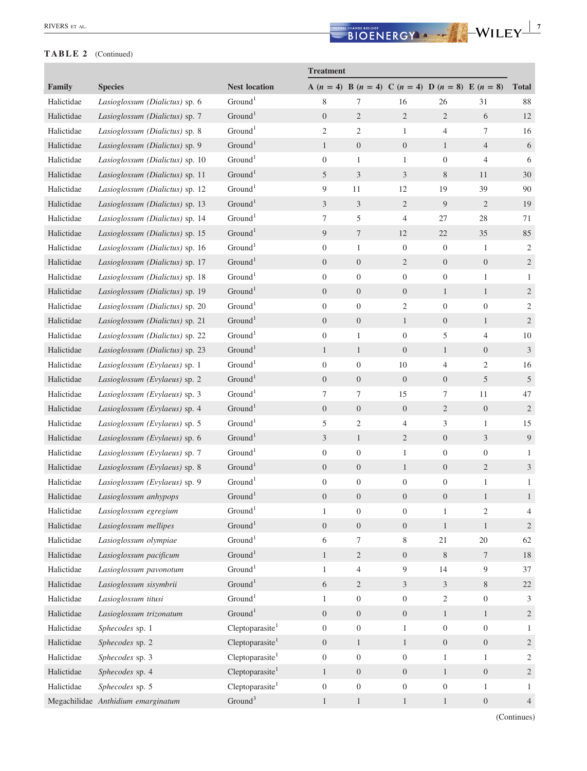i.

**TABLE 2** (Continued)

|            |                                    |                                | <b>Treatment</b> |                                                             |                  |                  |                  |                |
|------------|------------------------------------|--------------------------------|------------------|-------------------------------------------------------------|------------------|------------------|------------------|----------------|
| Family     | <b>Species</b>                     | <b>Nest location</b>           |                  | A $(n = 4)$ B $(n = 4)$ C $(n = 4)$ D $(n = 8)$ E $(n = 8)$ |                  |                  |                  | <b>Total</b>   |
| Halictidae | Lasioglossum (Dialictus) sp. 6     | Ground <sup>1</sup>            | 8                | 7                                                           | 16               | 26               | 31               | 88             |
| Halictidae | Lasioglossum (Dialictus) sp. 7     | Ground <sup>1</sup>            | $\boldsymbol{0}$ | $\sqrt{2}$                                                  | $\mathbf{2}$     | $\mathbf{2}$     | 6                | 12             |
| Halictidae | Lasioglossum (Dialictus) sp. 8     | Ground <sup>1</sup>            | $\mathfrak{2}$   | $\overline{c}$                                              | $\mathbf{1}$     | $\overline{4}$   | 7                | 16             |
| Halictidae | Lasioglossum (Dialictus) sp. 9     | Ground <sup>1</sup>            | $\mathbf{1}$     | $\boldsymbol{0}$                                            | $\mathbf{0}$     | $\mathbf{1}$     | $\overline{4}$   | 6              |
| Halictidae | Lasioglossum (Dialictus) sp. 10    | Ground <sup>1</sup>            | $\boldsymbol{0}$ | $\mathbf{1}$                                                | $\mathbf{1}$     | $\overline{0}$   | 4                | 6              |
| Halictidae | Lasioglossum (Dialictus) sp. 11    | Ground <sup>1</sup>            | 5                | $\mathfrak{Z}$                                              | $\overline{3}$   | 8                | 11               | 30             |
| Halictidae | Lasioglossum (Dialictus) sp. 12    | Ground <sup>1</sup>            | 9                | 11                                                          | 12               | 19               | 39               | 90             |
| Halictidae | Lasioglossum (Dialictus) sp. 13    | Ground <sup>1</sup>            | 3                | $\mathfrak{Z}$                                              | $\overline{2}$   | 9                | $\overline{2}$   | 19             |
| Halictidae | Lasioglossum (Dialictus) sp. 14    | Ground <sup>1</sup>            | 7                | 5                                                           | $\overline{4}$   | 27               | $28\,$           | 71             |
| Halictidae | Lasioglossum (Dialictus) sp. 15    | Ground <sup>1</sup>            | 9                | $\tau$                                                      | 12               | 22               | 35               | 85             |
| Halictidae | Lasioglossum (Dialictus) sp. 16    | Ground <sup>1</sup>            | $\mathbf{0}$     | $\mathbf{1}$                                                | $\mathbf{0}$     | $\overline{0}$   | $\mathbf{1}$     | 2              |
| Halictidae | Lasioglossum (Dialictus) sp. 17    | Ground <sup>1</sup>            | $\boldsymbol{0}$ | $\mathbf{0}$                                                | $\overline{2}$   | $\overline{0}$   | $\boldsymbol{0}$ | $\sqrt{2}$     |
| Halictidae | Lasioglossum (Dialictus) sp. 18    | Ground <sup>1</sup>            | $\mathbf{0}$     | $\boldsymbol{0}$                                            | $\boldsymbol{0}$ | $\overline{0}$   | $\mathbf{1}$     | $\mathbf{1}$   |
| Halictidae | Lasioglossum (Dialictus) sp. 19    | Ground <sup>1</sup>            | $\boldsymbol{0}$ | $\mathbf{0}$                                                | $\overline{0}$   | $\mathbf{1}$     | $\mathbf{1}$     | 2              |
| Halictidae | Lasioglossum (Dialictus) sp. 20    | Ground <sup>1</sup>            | $\mathbf{0}$     | $\boldsymbol{0}$                                            | $\overline{c}$   | $\overline{0}$   | $\boldsymbol{0}$ | 2              |
| Halictidae | Lasioglossum (Dialictus) sp. 21    | Ground <sup>1</sup>            | $\boldsymbol{0}$ | $\mathbf{0}$                                                | $\mathbf{1}$     | $\overline{0}$   | $\mathbf{1}$     | 2              |
| Halictidae | Lasioglossum (Dialictus) sp. 22    | Ground <sup>1</sup>            | $\mathbf{0}$     | $\mathbf{1}$                                                | $\overline{0}$   | 5                | $\overline{4}$   | 10             |
| Halictidae | Lasioglossum (Dialictus) sp. 23    | Ground <sup>1</sup>            | $\mathbf{1}$     | $\mathbf{1}$                                                | $\overline{0}$   | $\mathbf{1}$     | $\boldsymbol{0}$ | $\overline{3}$ |
| Halictidae | Lasioglossum (Evylaeus) sp. 1      | Ground <sup>1</sup>            | $\mathbf{0}$     | $\boldsymbol{0}$                                            | 10               | 4                | 2                | 16             |
| Halictidae | Lasioglossum (Evylaeus) sp. 2      | Ground <sup>1</sup>            | $\overline{0}$   | $\boldsymbol{0}$                                            | $\mathbf{0}$     | $\boldsymbol{0}$ | $\mathfrak{S}$   | 5              |
| Halictidae | Lasioglossum (Evylaeus) sp. 3      | Ground <sup>1</sup>            | 7                | 7                                                           | 15               | $\tau$           | 11               | 47             |
| Halictidae | Lasioglossum (Evylaeus) sp. 4      | Ground <sup>1</sup>            | $\boldsymbol{0}$ | $\boldsymbol{0}$                                            | $\boldsymbol{0}$ | $\overline{2}$   | $\boldsymbol{0}$ | $\overline{2}$ |
| Halictidae | Lasioglossum (Evylaeus) sp. 5      | Ground <sup>1</sup>            | 5                | $\overline{c}$                                              | 4                | 3                | $\mathbf{1}$     | 15             |
| Halictidae | Lasioglossum (Evylaeus) sp. 6      | Ground <sup>1</sup>            | 3                | $\mathbf{1}$                                                | $\overline{2}$   | $\boldsymbol{0}$ | 3                | 9              |
| Halictidae | Lasioglossum (Evylaeus) sp. 7      | Ground <sup>1</sup>            | $\boldsymbol{0}$ | $\overline{0}$                                              | $\mathbf{1}$     | $\overline{0}$   | $\boldsymbol{0}$ | 1              |
| Halictidae | Lasioglossum (Evylaeus) sp. 8      | Ground <sup>1</sup>            | $\overline{0}$   | $\mathbf{0}$                                                | $\mathbf{1}$     | $\overline{0}$   | $\overline{c}$   | 3              |
| Halictidae | Lasioglossum (Evylaeus) sp. 9      | Ground <sup>1</sup>            | $\boldsymbol{0}$ | $\boldsymbol{0}$                                            | $\boldsymbol{0}$ | $\boldsymbol{0}$ | $\mathbf{1}$     | 1              |
| Halictidae | Lasioglossum anhypops              | Ground <sup>1</sup>            | $\boldsymbol{0}$ | $\mathbf{0}$                                                | $\boldsymbol{0}$ | $\boldsymbol{0}$ | $\mathbf{1}$     | $\mathbf{1}$   |
| Halictidae | Lasioglossum egregium              | Ground <sup>1</sup>            | 1                | $\boldsymbol{0}$                                            | $\boldsymbol{0}$ | $\,1$            | $\overline{c}$   | 4              |
| Halictidae | Lasioglossum mellipes              | Ground <sup>1</sup>            | $\boldsymbol{0}$ | $\boldsymbol{0}$                                            | $\boldsymbol{0}$ | $\mathbf{1}$     | $\mathbf{1}$     | $\sqrt{2}$     |
| Halictidae | Lasioglossum olympiae              | Ground <sup>1</sup>            | 6                | $\tau$                                                      | 8                | 21               | $20\,$           | 62             |
| Halictidae | Lasioglossum pacificum             | Ground <sup>1</sup>            | $\mathbf{1}$     | $\sqrt{2}$                                                  | $\boldsymbol{0}$ | $8\,$            | $\tau$           | $18\,$         |
| Halictidae | Lasioglossum pavonotum             | Ground <sup>1</sup>            | $\mathbf{1}$     | $\overline{4}$                                              | $\overline{9}$   | 14               | 9                | 37             |
| Halictidae | Lasioglossum sisymbrii             | Ground <sup>1</sup>            | 6                | $\overline{c}$                                              | $\mathfrak{Z}$   | $\mathfrak{Z}$   | 8                | $22\,$         |
| Halictidae | Lasioglossum titusi                | Ground <sup>1</sup>            | $\mathbf{1}$     | $\boldsymbol{0}$                                            | $\boldsymbol{0}$ | $\overline{2}$   | $\boldsymbol{0}$ | 3              |
| Halictidae | Lasioglossum trizonatum            | Ground <sup>1</sup>            | $\boldsymbol{0}$ | $\boldsymbol{0}$                                            | $\boldsymbol{0}$ | $\mathbf{1}$     | $\mathbf{1}$     | $\overline{2}$ |
| Halictidae | Sphecodes sp. 1                    | $C$ leptoparasite <sup>1</sup> | $\boldsymbol{0}$ | $\boldsymbol{0}$                                            | $\mathbf{1}$     | $\overline{0}$   | $\boldsymbol{0}$ | $\mathbf{1}$   |
| Halictidae | Sphecodes sp. 2                    | $C$ leptoparasite <sup>1</sup> | $\boldsymbol{0}$ | $\mathbf{1}$                                                | $\mathbf{1}$     | $\boldsymbol{0}$ | $\boldsymbol{0}$ | $\sqrt{2}$     |
| Halictidae | Sphecodes sp. 3                    | $C$ leptoparasite <sup>1</sup> | $\boldsymbol{0}$ | $\boldsymbol{0}$                                            | $\boldsymbol{0}$ | $\mathbf{1}$     | $\mathbf{1}$     | $\sqrt{2}$     |
| Halictidae | Sphecodes sp. 4                    | $C$ leptoparasite <sup>1</sup> | $\mathbf{1}$     | $\boldsymbol{0}$                                            | $\boldsymbol{0}$ | $\mathbf{1}$     | $\boldsymbol{0}$ | $\overline{2}$ |
| Halictidae | Sphecodes sp. 5                    | $C$ leptoparasite <sup>1</sup> | $\boldsymbol{0}$ | $\boldsymbol{0}$                                            | $\boldsymbol{0}$ | $\boldsymbol{0}$ | $\mathbf{1}$     | $\mathbf{1}$   |
|            | Megachilidae Anthidium emarginatum | Ground <sup>3</sup>            | $\mathbf{1}$     | $\mathbf{1}$                                                | $\mathbf{1}$     | $\mathbf{1}$     | $\boldsymbol{0}$ | $\overline{4}$ |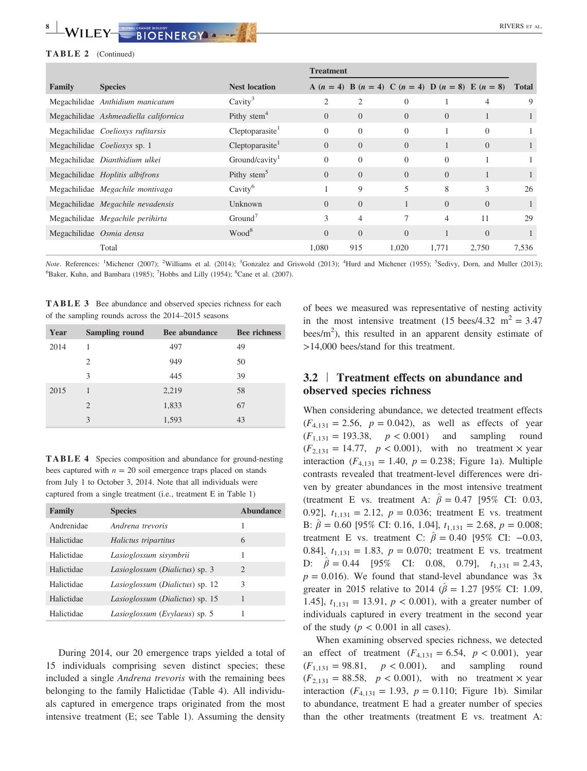#### **TABLE 2** (Continued)

|        |                                        |                                | <b>Treatment</b> |          |          |                                                             |                |              |
|--------|----------------------------------------|--------------------------------|------------------|----------|----------|-------------------------------------------------------------|----------------|--------------|
| Family | <b>Species</b>                         | <b>Nest location</b>           |                  |          |          | A $(n = 4)$ B $(n = 4)$ C $(n = 4)$ D $(n = 8)$ E $(n = 8)$ |                | <b>Total</b> |
|        | Megachilidae Anthidium manicatum       | Cavity <sup>3</sup>            | 2                |          | $\Omega$ |                                                             | 4              | 9            |
|        | Megachilidae Ashmeadiella californica  | Pithy stem <sup>4</sup>        | $\overline{0}$   | $\Omega$ | $\Omega$ | $\Omega$                                                    |                |              |
|        | Megachilidae Coelioxys rufitarsis      | $C$ leptoparasite <sup>1</sup> | $\overline{0}$   | $\Omega$ | $\Omega$ |                                                             | $\Omega$       |              |
|        | Megachilidae Coelioxys sp. 1           | $C$ leptoparasite              | $\Omega$         | $\Omega$ | $\Omega$ |                                                             | $\overline{0}$ |              |
|        | Megachilidae Dianthidium ulkei         | Ground/cavity <sup>1</sup>     | $\Omega$         | $\Omega$ | $\Omega$ | $\Omega$                                                    |                |              |
|        | Megachilidae <i>Hoplitis albifrons</i> | Pithy stem <sup>5</sup>        | $\Omega$         | $\Omega$ | $\Omega$ | $\Omega$                                                    |                |              |
|        | Megachilidae Megachile montivaga       | Cavity <sup>6</sup>            |                  | 9        | 5        | 8                                                           | 3              | 26           |
|        | Megachilidae Megachile nevadensis      | Unknown                        | $\Omega$         | $\Omega$ |          | $\Omega$                                                    | $\Omega$       |              |
|        | Megachilidae Megachile perihirta       | Ground <sup>7</sup>            | 3                | 4        | 7        | 4                                                           | 11             | 29           |
|        | Megachilidae Osmia densa               | Wood <sup>8</sup>              | $\Omega$         | $\Omega$ | $\Omega$ |                                                             | $\Omega$       |              |
|        | Total                                  |                                | 1.080            | 915      | 1.020    | 1.771                                                       | 2,750          | 7,536        |

Note. References: <sup>1</sup>Michener (2007); <sup>2</sup>Williams et al. (2014); <sup>3</sup>Gonzalez and Griswold (2013); <sup>4</sup>Hurd and Michener (1955); <sup>5</sup>Sedivy, Dorn, and Muller (2013); <sup>6</sup>Baker, Kuhn, and Bambara (1985); <sup>7</sup>Hobbs and Lilly (1954); <sup>8</sup>Cane et al. (2007).

**TABLE 3** Bee abundance and observed species richness for each of the sampling rounds across the 2014–2015 seasons

| Year | <b>Sampling round</b>       | <b>Bee abundance</b> | <b>Bee richness</b> |
|------|-----------------------------|----------------------|---------------------|
| 2014 |                             | 497                  | 49                  |
|      | 2                           | 949                  | 50                  |
|      | 3                           | 445                  | 39                  |
| 2015 |                             | 2,219                | 58                  |
|      | $\mathcal{D}_{\mathcal{L}}$ | 1,833                | 67                  |
|      | 3                           | 1,593                | 43                  |

**TABLE 4** Species composition and abundance for ground‐nesting bees captured with  $n = 20$  soil emergence traps placed on stands from July 1 to October 3, 2014. Note that all individuals were captured from a single treatment (i.e., treatment E in Table 1)

| <b>Family</b> | <b>Species</b>                  | Abundance      |
|---------------|---------------------------------|----------------|
| Andrenidae    | Andrena trevoris                | 1              |
| Halictidae    | Halictus tripartitus            | 6              |
| Halictidae    | Lasioglossum sisymbrii          | 1              |
| Halictidae    | Lasioglossum (Dialictus) sp. 3  | $\mathfrak{D}$ |
| Halictidae    | Lasioglossum (Dialictus) sp. 12 | 3              |
| Halictidae    | Lasioglossum (Dialictus) sp. 15 | 1              |
| Halictidae    | Lasioglossum (Evylaeus) sp. 5   |                |

During 2014, our 20 emergence traps yielded a total of 15 individuals comprising seven distinct species; these included a single *Andrena trevoris* with the remaining bees belonging to the family Halictidae (Table 4). All individuals captured in emergence traps originated from the most intensive treatment (E; see Table 1). Assuming the density

of bees we measured was representative of nesting activity in the most intensive treatment (15 bees/4.32 m<sup>2</sup> = 3.47 bees/ $m<sup>2</sup>$ ), this resulted in an apparent density estimate of >14,000 bees/stand for this treatment.

# **3.2** | **Treatment effects on abundance and observed species richness**

When considering abundance, we detected treatment effects  $(F_{4,131} = 2.56, p = 0.042)$ , as well as effects of year  $(F_{1,131} = 193.38, p < 0.001)$  and sampling round  $(F_{2,131} = 14.77, p < 0.001)$ , with no treatment  $\times$  year interaction  $(F_{4,131} = 1.40, p = 0.238;$  Figure 1a). Multiple contrasts revealed that treatment‐level differences were driven by greater abundances in the most intensive treatment (treatment E vs. treatment A:  $\hat{\beta} = 0.47$  [95% CI: 0.03, 0.92],  $t_{1,131} = 2.12$ ,  $p = 0.036$ ; treatment E vs. treatment B:  $\hat{\beta} = 0.60$  [95% CI: 0.16, 1.04], *t*<sub>1,131</sub> = 2.68, *p* = 0.008; treatment E vs. treatment C:  $\hat{\beta} = 0.40$  [95% CI: −0.03, 0.84],  $t_{1,131} = 1.83$ ,  $p = 0.070$ ; treatment E vs. treatment D: *β*^ = 0.44 [95% CI: 0.08, 0.79], *t*1,131 = 2.43,  $p = 0.016$ ). We found that stand-level abundance was 3x greater in 2015 relative to 2014 ( $\beta$  = 1.27 [95% CI: 1.09, 1.45],  $t_{1,131} = 13.91$ ,  $p < 0.001$ ), with a greater number of individuals captured in every treatment in the second year of the study  $(p < 0.001$  in all cases).

When examining observed species richness, we detected an effect of treatment  $(F_{4,131} = 6.54, p < 0.001)$ , year  $(F_{1,131} = 98.81, p < 0.001)$ , and sampling round  $(F_{2,131} = 88.58, p < 0.001)$ , with no treatment  $\times$  year interaction  $(F_{4,131} = 1.93, p = 0.110;$  Figure 1b). Similar to abundance, treatment E had a greater number of species than the other treatments (treatment E vs. treatment A: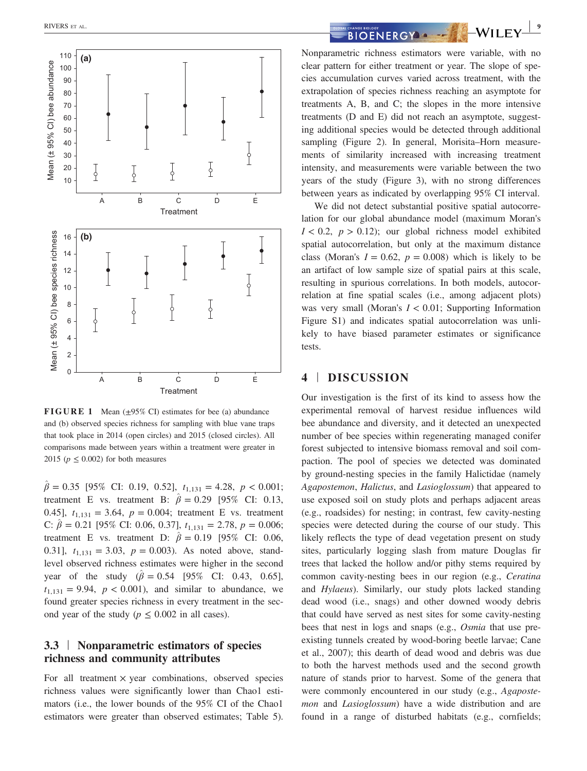

**FIGURE 1** Mean (±95% CI) estimates for bee (a) abundance and (b) observed species richness for sampling with blue vane traps that took place in 2014 (open circles) and 2015 (closed circles). All comparisons made between years within a treatment were greater in 2015 ( $p \leq 0.002$ ) for both measures

 $\beta = 0.35$  [95% CI: 0.19, 0.52],  $t_{1,131} = 4.28$ ,  $p < 0.001$ ; treatment E vs. treatment B:  $\hat{\beta} = 0.29$  [95% CI: 0.13, 0.45],  $t_{1,131} = 3.64$ ,  $p = 0.004$ ; treatment E vs. treatment C:  $\hat{\beta} = 0.21$  [95% CI: 0.06, 0.37],  $t_{1,131} = 2.78$ ,  $p = 0.006$ ; treatment E vs. treatment D:  $\hat{\beta} = 0.19$  [95% CI: 0.06, 0.31],  $t_{1,131} = 3.03$ ,  $p = 0.003$ ). As noted above, standlevel observed richness estimates were higher in the second year of the study  $(\hat{\beta} = 0.54$  [95% CI: 0.43, 0.65],  $t_{1,131} = 9.94$ ,  $p < 0.001$ ), and similar to abundance, we found greater species richness in every treatment in the second year of the study ( $p \le 0.002$  in all cases).

# **3.3** | **Nonparametric estimators of species richness and community attributes**

For all treatment  $\times$  year combinations, observed species richness values were significantly lower than Chao1 estimators (i.e., the lower bounds of the 95% CI of the Chao1 estimators were greater than observed estimates; Table 5).

Nonparametric richness estimators were variable, with no clear pattern for either treatment or year. The slope of species accumulation curves varied across treatment, with the extrapolation of species richness reaching an asymptote for treatments A, B, and C; the slopes in the more intensive treatments (D and E) did not reach an asymptote, suggesting additional species would be detected through additional sampling (Figure 2). In general, Morisita–Horn measurements of similarity increased with increasing treatment intensity, and measurements were variable between the two years of the study (Figure 3), with no strong differences between years as indicated by overlapping 95% CI interval.

We did not detect substantial positive spatial autocorrelation for our global abundance model (maximum Moran's  $I < 0.2$ ,  $p > 0.12$ ); our global richness model exhibited spatial autocorrelation, but only at the maximum distance class (Moran's  $I = 0.62$ ,  $p = 0.008$ ) which is likely to be an artifact of low sample size of spatial pairs at this scale, resulting in spurious correlations. In both models, autocorrelation at fine spatial scales (i.e., among adjacent plots) was very small (Moran's *I* < 0.01; Supporting Information Figure S1) and indicates spatial autocorrelation was unlikely to have biased parameter estimates or significance tests.

# **4** | **DISCUSSION**

Our investigation is the first of its kind to assess how the experimental removal of harvest residue influences wild bee abundance and diversity, and it detected an unexpected number of bee species within regenerating managed conifer forest subjected to intensive biomass removal and soil compaction. The pool of species we detected was dominated by ground‐nesting species in the family Halictidae (namely *Agapostemon*, *Halictus*, and *Lasioglossum*) that appeared to use exposed soil on study plots and perhaps adjacent areas (e.g., roadsides) for nesting; in contrast, few cavity‐nesting species were detected during the course of our study. This likely reflects the type of dead vegetation present on study sites, particularly logging slash from mature Douglas fir trees that lacked the hollow and/or pithy stems required by common cavity‐nesting bees in our region (e.g., *Ceratina* and *Hylaeus*). Similarly, our study plots lacked standing dead wood (i.e., snags) and other downed woody debris that could have served as nest sites for some cavity‐nesting bees that nest in logs and snaps (e.g., *Osmia* that use preexisting tunnels created by wood‐boring beetle larvae; Cane et al., 2007); this dearth of dead wood and debris was due to both the harvest methods used and the second growth nature of stands prior to harvest. Some of the genera that were commonly encountered in our study (e.g., *Agapostemon* and *Lasioglossum*) have a wide distribution and are found in a range of disturbed habitats (e.g., cornfields;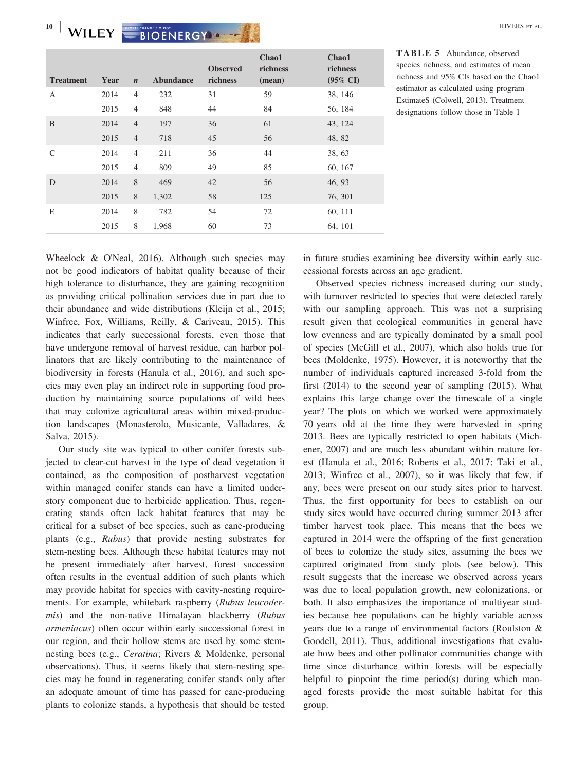**10** WILEY **CIONAL CHANGE BOLOGY 10 LEV BIOENERGY 10 LEV RIVERS** ET AL.

| <b>Treatment</b> | Year | $\boldsymbol{n}$ | <b>Abundance</b> | <b>Observed</b><br>richness | Chao1<br>richness<br>(mean) | Chao1<br>richness<br>$(95\% \text{ CI})$ |
|------------------|------|------------------|------------------|-----------------------------|-----------------------------|------------------------------------------|
| A                | 2014 | $\overline{4}$   | 232              | 31                          | 59                          | 38, 146                                  |
|                  | 2015 | $\overline{4}$   | 848              | 44                          | 84                          | 56, 184                                  |
| B                | 2014 | $\overline{4}$   | 197              | 36                          | 61                          | 43, 124                                  |
|                  | 2015 | $\overline{4}$   | 718              | 45                          | 56                          | 48, 82                                   |
| C                | 2014 | $\overline{4}$   | 211              | 36                          | 44                          | 38, 63                                   |
|                  | 2015 | $\overline{4}$   | 809              | 49                          | 85                          | 60, 167                                  |
| D                | 2014 | 8                | 469              | 42                          | 56                          | 46, 93                                   |
|                  | 2015 | 8                | 1,302            | 58                          | 125                         | 76, 301                                  |
| E                | 2014 | 8                | 782              | 54                          | 72                          | 60, 111                                  |
|                  | 2015 | 8                | 1,968            | 60                          | 73                          | 64, 101                                  |

Wheelock & O'Neal, 2016). Although such species may not be good indicators of habitat quality because of their high tolerance to disturbance, they are gaining recognition as providing critical pollination services due in part due to their abundance and wide distributions (Kleijn et al., 2015; Winfree, Fox, Williams, Reilly, & Cariveau, 2015). This indicates that early successional forests, even those that have undergone removal of harvest residue, can harbor pollinators that are likely contributing to the maintenance of biodiversity in forests (Hanula et al., 2016), and such species may even play an indirect role in supporting food production by maintaining source populations of wild bees that may colonize agricultural areas within mixed‐production landscapes (Monasterolo, Musicante, Valladares, & Salva, 2015).

Our study site was typical to other conifer forests subjected to clear‐cut harvest in the type of dead vegetation it contained, as the composition of postharvest vegetation within managed conifer stands can have a limited understory component due to herbicide application. Thus, regenerating stands often lack habitat features that may be critical for a subset of bee species, such as cane‐producing plants (e.g., *Rubus*) that provide nesting substrates for stem‐nesting bees. Although these habitat features may not be present immediately after harvest, forest succession often results in the eventual addition of such plants which may provide habitat for species with cavity-nesting requirements. For example, whitebark raspberry (*Rubus leucodermis*) and the non‐native Himalayan blackberry (*Rubus armeniacus*) often occur within early successional forest in our region, and their hollow stems are used by some stem‐ nesting bees (e.g., *Ceratina*; Rivers & Moldenke, personal observations). Thus, it seems likely that stem‐nesting species may be found in regenerating conifer stands only after an adequate amount of time has passed for cane‐producing plants to colonize stands, a hypothesis that should be tested in future studies examining bee diversity within early successional forests across an age gradient.

Observed species richness increased during our study, with turnover restricted to species that were detected rarely with our sampling approach. This was not a surprising result given that ecological communities in general have low evenness and are typically dominated by a small pool of species (McGill et al., 2007), which also holds true for bees (Moldenke, 1975). However, it is noteworthy that the number of individuals captured increased 3‐fold from the first (2014) to the second year of sampling (2015). What explains this large change over the timescale of a single year? The plots on which we worked were approximately 70 years old at the time they were harvested in spring 2013. Bees are typically restricted to open habitats (Michener, 2007) and are much less abundant within mature forest (Hanula et al., 2016; Roberts et al., 2017; Taki et al., 2013; Winfree et al., 2007), so it was likely that few, if any, bees were present on our study sites prior to harvest. Thus, the first opportunity for bees to establish on our study sites would have occurred during summer 2013 after timber harvest took place. This means that the bees we captured in 2014 were the offspring of the first generation of bees to colonize the study sites, assuming the bees we captured originated from study plots (see below). This result suggests that the increase we observed across years was due to local population growth, new colonizations, or both. It also emphasizes the importance of multiyear studies because bee populations can be highly variable across years due to a range of environmental factors (Roulston & Goodell, 2011). Thus, additional investigations that evaluate how bees and other pollinator communities change with time since disturbance within forests will be especially helpful to pinpoint the time period(s) during which managed forests provide the most suitable habitat for this group.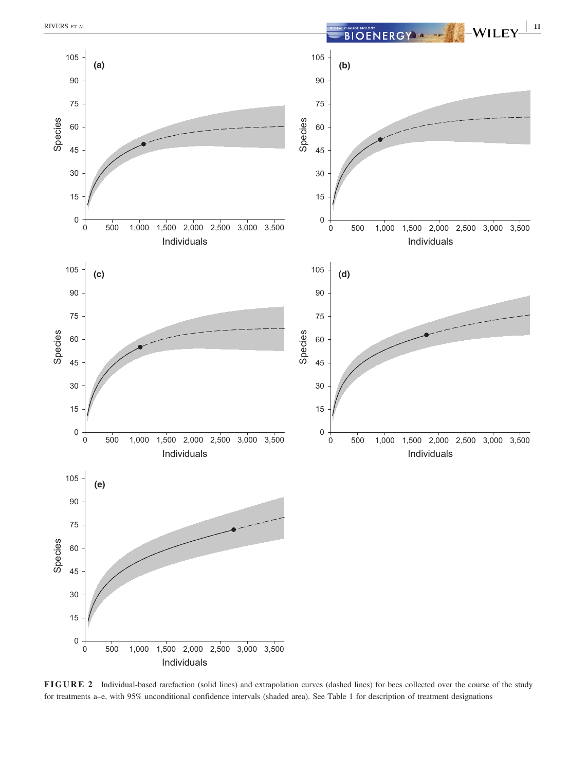

FIGURE 2 Individual-based rarefaction (solid lines) and extrapolation curves (dashed lines) for bees collected over the course of the study for treatments a–e, with 95% unconditional confidence intervals (shaded area). See Table 1 for description of treatment designations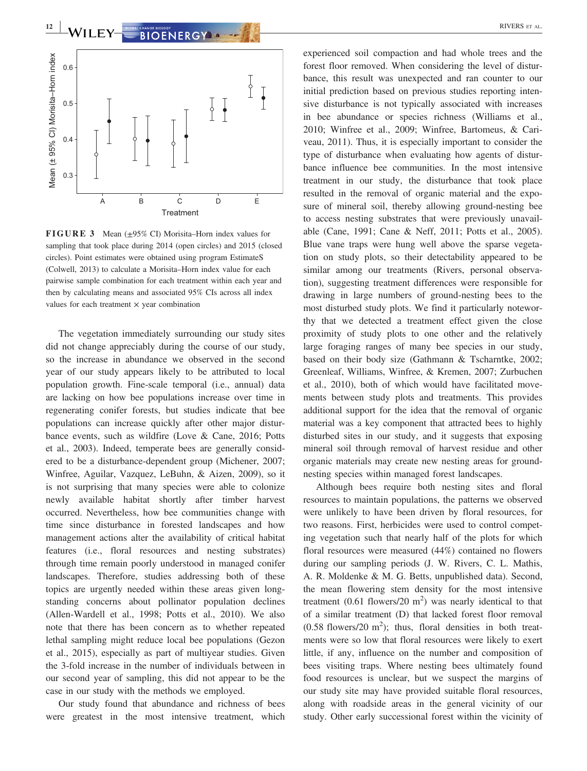

**FIGURE 3** Mean (±95% CI) Morisita–Horn index values for sampling that took place during 2014 (open circles) and 2015 (closed circles). Point estimates were obtained using program EstimateS (Colwell, 2013) to calculate a Morisita–Horn index value for each pairwise sample combination for each treatment within each year and then by calculating means and associated 95% CIs across all index values for each treatment  $\times$  year combination

The vegetation immediately surrounding our study sites did not change appreciably during the course of our study, so the increase in abundance we observed in the second year of our study appears likely to be attributed to local population growth. Fine‐scale temporal (i.e., annual) data are lacking on how bee populations increase over time in regenerating conifer forests, but studies indicate that bee populations can increase quickly after other major disturbance events, such as wildfire (Love & Cane, 2016; Potts et al., 2003). Indeed, temperate bees are generally considered to be a disturbance‐dependent group (Michener, 2007; Winfree, Aguilar, Vazquez, LeBuhn, & Aizen, 2009), so it is not surprising that many species were able to colonize newly available habitat shortly after timber harvest occurred. Nevertheless, how bee communities change with time since disturbance in forested landscapes and how management actions alter the availability of critical habitat features (i.e., floral resources and nesting substrates) through time remain poorly understood in managed conifer landscapes. Therefore, studies addressing both of these topics are urgently needed within these areas given longstanding concerns about pollinator population declines (Allen‐Wardell et al., 1998; Potts et al., 2010). We also note that there has been concern as to whether repeated lethal sampling might reduce local bee populations (Gezon et al., 2015), especially as part of multiyear studies. Given the 3‐fold increase in the number of individuals between in our second year of sampling, this did not appear to be the case in our study with the methods we employed.

Our study found that abundance and richness of bees were greatest in the most intensive treatment, which

experienced soil compaction and had whole trees and the forest floor removed. When considering the level of disturbance, this result was unexpected and ran counter to our initial prediction based on previous studies reporting intensive disturbance is not typically associated with increases in bee abundance or species richness (Williams et al., 2010; Winfree et al., 2009; Winfree, Bartomeus, & Cariveau, 2011). Thus, it is especially important to consider the type of disturbance when evaluating how agents of disturbance influence bee communities. In the most intensive treatment in our study, the disturbance that took place resulted in the removal of organic material and the exposure of mineral soil, thereby allowing ground‐nesting bee to access nesting substrates that were previously unavailable (Cane, 1991; Cane & Neff, 2011; Potts et al., 2005). Blue vane traps were hung well above the sparse vegetation on study plots, so their detectability appeared to be similar among our treatments (Rivers, personal observation), suggesting treatment differences were responsible for drawing in large numbers of ground‐nesting bees to the most disturbed study plots. We find it particularly noteworthy that we detected a treatment effect given the close proximity of study plots to one other and the relatively large foraging ranges of many bee species in our study, based on their body size (Gathmann & Tscharntke, 2002; Greenleaf, Williams, Winfree, & Kremen, 2007; Zurbuchen et al., 2010), both of which would have facilitated movements between study plots and treatments. This provides additional support for the idea that the removal of organic material was a key component that attracted bees to highly disturbed sites in our study, and it suggests that exposing mineral soil through removal of harvest residue and other organic materials may create new nesting areas for ground‐ nesting species within managed forest landscapes.

Although bees require both nesting sites and floral resources to maintain populations, the patterns we observed were unlikely to have been driven by floral resources, for two reasons. First, herbicides were used to control competing vegetation such that nearly half of the plots for which floral resources were measured (44%) contained no flowers during our sampling periods (J. W. Rivers, C. L. Mathis, A. R. Moldenke & M. G. Betts, unpublished data). Second, the mean flowering stem density for the most intensive treatment  $(0.61$  flowers/20 m<sup>2</sup>) was nearly identical to that of a similar treatment (D) that lacked forest floor removal  $(0.58 \text{ flowers}/20 \text{ m}^2)$ ; thus, floral densities in both treatments were so low that floral resources were likely to exert little, if any, influence on the number and composition of bees visiting traps. Where nesting bees ultimately found food resources is unclear, but we suspect the margins of our study site may have provided suitable floral resources, along with roadside areas in the general vicinity of our study. Other early successional forest within the vicinity of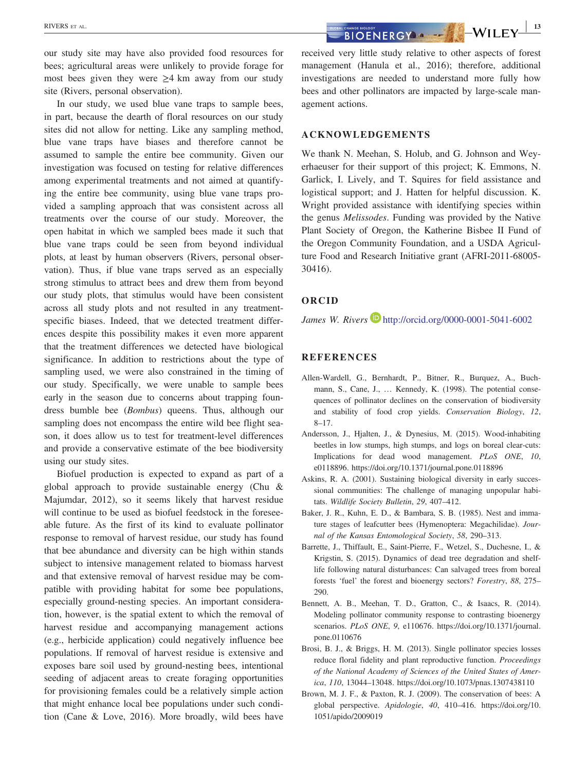our study site may have also provided food resources for bees; agricultural areas were unlikely to provide forage for most bees given they were  $\geq 4$  km away from our study site (Rivers, personal observation).

In our study, we used blue vane traps to sample bees, in part, because the dearth of floral resources on our study sites did not allow for netting. Like any sampling method, blue vane traps have biases and therefore cannot be assumed to sample the entire bee community. Given our investigation was focused on testing for relative differences among experimental treatments and not aimed at quantifying the entire bee community, using blue vane traps provided a sampling approach that was consistent across all treatments over the course of our study. Moreover, the open habitat in which we sampled bees made it such that blue vane traps could be seen from beyond individual plots, at least by human observers (Rivers, personal observation). Thus, if blue vane traps served as an especially strong stimulus to attract bees and drew them from beyond our study plots, that stimulus would have been consistent across all study plots and not resulted in any treatment‐ specific biases. Indeed, that we detected treatment differences despite this possibility makes it even more apparent that the treatment differences we detected have biological significance. In addition to restrictions about the type of sampling used, we were also constrained in the timing of our study. Specifically, we were unable to sample bees early in the season due to concerns about trapping foundress bumble bee (*Bombus*) queens. Thus, although our sampling does not encompass the entire wild bee flight season, it does allow us to test for treatment‐level differences and provide a conservative estimate of the bee biodiversity using our study sites.

Biofuel production is expected to expand as part of a global approach to provide sustainable energy (Chu & Majumdar, 2012), so it seems likely that harvest residue will continue to be used as biofuel feedstock in the foreseeable future. As the first of its kind to evaluate pollinator response to removal of harvest residue, our study has found that bee abundance and diversity can be high within stands subject to intensive management related to biomass harvest and that extensive removal of harvest residue may be compatible with providing habitat for some bee populations, especially ground‐nesting species. An important consideration, however, is the spatial extent to which the removal of harvest residue and accompanying management actions (e.g., herbicide application) could negatively influence bee populations. If removal of harvest residue is extensive and exposes bare soil used by ground‐nesting bees, intentional seeding of adjacent areas to create foraging opportunities for provisioning females could be a relatively simple action that might enhance local bee populations under such condition (Cane & Love, 2016). More broadly, wild bees have

RIVERS ET AL. **NOTER GY AND READ CONSUMER GY AND READ CONSUMER GY AND READ CONSUMER GY AND READ CONSUMER GY AND READ CONSUMER GY AND READ CONSUMER GY AND READ CONSUMER GY AND READ CONSUMER GY AND READ CONSUMER GY AND READ** 

received very little study relative to other aspects of forest management (Hanula et al., 2016); therefore, additional investigations are needed to understand more fully how bees and other pollinators are impacted by large-scale management actions.

#### **ACKNOWLEDGEMENTS**

We thank N. Meehan, S. Holub, and G. Johnson and Weyerhaeuser for their support of this project; K. Emmons, N. Garlick, I. Lively, and T. Squires for field assistance and logistical support; and J. Hatten for helpful discussion. K. Wright provided assistance with identifying species within the genus *Melissodes*. Funding was provided by the Native Plant Society of Oregon, the Katherine Bisbee II Fund of the Oregon Community Foundation, and a USDA Agriculture Food and Research Initiative grant (AFRI-2011-68005-30416).

#### **ORCID**

*James W. Rivers* **b** http://orcid.org/0000-0001-5041-6002

### **REFERENCES**

- Allen‐Wardell, G., Bernhardt, P., Bitner, R., Burquez, A., Buchmann, S., Cane, J., … Kennedy, K. (1998). The potential consequences of pollinator declines on the conservation of biodiversity and stability of food crop yields. *Conservation Biology*, *12*, 8–17.
- Andersson, J., Hjalten, J., & Dynesius, M. (2015). Wood-inhabiting beetles in low stumps, high stumps, and logs on boreal clear-cuts: Implications for dead wood management. *PLoS ONE*, *10*, e0118896.<https://doi.org/10.1371/journal.pone.0118896>
- Askins, R. A. (2001). Sustaining biological diversity in early successional communities: The challenge of managing unpopular habitats. *Wildlife Society Bulletin*, *29*, 407–412.
- Baker, J. R., Kuhn, E. D., & Bambara, S. B. (1985). Nest and immature stages of leafcutter bees (Hymenoptera: Megachilidae). *Journal of the Kansas Entomological Society*, *58*, 290–313.
- Barrette, J., Thiffault, E., Saint‐Pierre, F., Wetzel, S., Duchesne, I., & Krigstin, S. (2015). Dynamics of dead tree degradation and shelflife following natural disturbances: Can salvaged trees from boreal forests 'fuel' the forest and bioenergy sectors? *Forestry*, *88*, 275– 290.
- Bennett, A. B., Meehan, T. D., Gratton, C., & Isaacs, R. (2014). Modeling pollinator community response to contrasting bioenergy scenarios. *PLoS ONE*, *9*, e110676. [https://doi.org/10.1371/journal.](https://doi.org/10.1371/journal.pone.0110676) [pone.0110676](https://doi.org/10.1371/journal.pone.0110676)
- Brosi, B. J., & Briggs, H. M. (2013). Single pollinator species losses reduce floral fidelity and plant reproductive function. *Proceedings of the National Academy of Sciences of the United States of America*, *110*, 13044–13048.<https://doi.org/10.1073/pnas.1307438110>
- Brown, M. J. F., & Paxton, R. J. (2009). The conservation of bees: A global perspective. *Apidologie*, *40*, 410–416. [https://doi.org/10.](https://doi.org/10.1051/apido/2009019) [1051/apido/2009019](https://doi.org/10.1051/apido/2009019)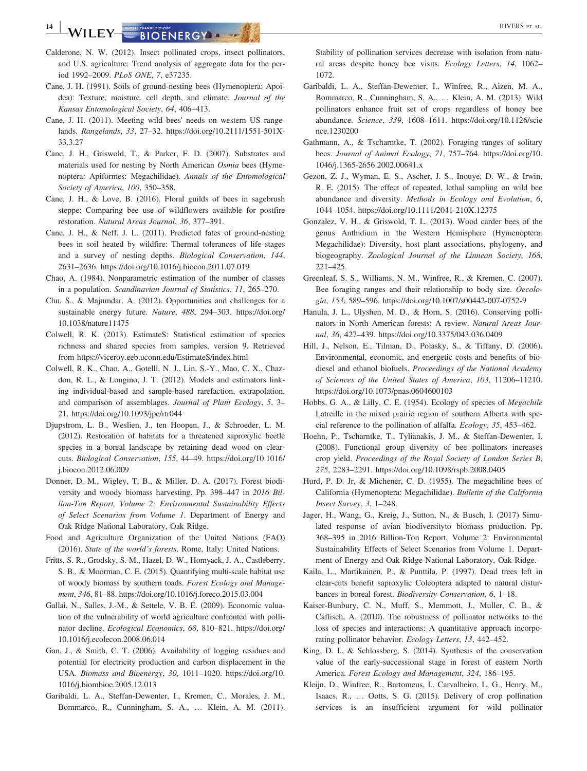WILEY—**SIDBAL CHANGE BIOLOGY**<br>WILEY—<u>SILOFNFRGYA AND AND THE CONSULTANCE IN RIVERS ET AL.</u>

- Calderone, N. W. (2012). Insect pollinated crops, insect pollinators, and U.S. agriculture: Trend analysis of aggregate data for the period 1992–2009. *PLoS ONE*, *7*, e37235.
- Cane, J. H. (1991). Soils of ground‐nesting bees (Hymenoptera: Apoidea): Texture, moisture, cell depth, and climate. *Journal of the Kansas Entomological Society*, *64*, 406–413.
- Cane, J. H. (2011). Meeting wild bees' needs on western US rangelands. *Rangelands*, *33*, 27–32. [https://doi.org/10.2111/1551-501X-](https://doi.org/10.2111/1551-501X-33.3.27)[33.3.27](https://doi.org/10.2111/1551-501X-33.3.27)
- Cane, J. H., Griswold, T., & Parker, F. D. (2007). Substrates and materials used for nesting by North American *Osmia* bees (Hymenoptera: Apiformes: Megachilidae). *Annals of the Entomological Society of America*, *100*, 350–358.
- Cane, J. H., & Love, B. (2016). Floral guilds of bees in sagebrush steppe: Comparing bee use of wildflowers available for postfire restoration. *Natural Areas Journal*, *36*, 377–391.
- Cane, J. H., & Neff, J. L. (2011). Predicted fates of ground‐nesting bees in soil heated by wildfire: Thermal tolerances of life stages and a survey of nesting depths. *Biological Conservation*, *144*, 2631–2636.<https://doi.org/10.1016/j.biocon.2011.07.019>
- Chao, A. (1984). Nonparametric estimation of the number of classes in a population. *Scandinavian Journal of Statistics*, *11*, 265–270.
- Chu, S., & Majumdar, A. (2012). Opportunities and challenges for a sustainable energy future. *Nature*, *488*, 294–303. [https://doi.org/](https://doi.org/10.1038/nature11475) [10.1038/nature11475](https://doi.org/10.1038/nature11475)
- Colwell, R. K. (2013). EstimateS: Statistical estimation of species richness and shared species from samples, version 9. Retrieved from<https://viceroy.eeb.uconn.edu/EstimateS/index.html>
- Colwell, R. K., Chao, A., Gotelli, N. J., Lin, S.‐Y., Mao, C. X., Chazdon, R. L., & Longino, J. T. (2012). Models and estimators linking individual‐based and sample‐based rarefaction, extrapolation, and comparison of assemblages. *Journal of Plant Ecology*, *5*, 3– 21.<https://doi.org/10.1093/jpe/rtr044>
- Djupstrom, L. B., Weslien, J., ten Hoopen, J., & Schroeder, L. M. (2012). Restoration of habitats for a threatened saproxylic beetle species in a boreal landscape by retaining dead wood on clearcuts. *Biological Conservation*, *155*, 44–49. [https://doi.org/10.1016/](https://doi.org/10.1016/j.biocon.2012.06.009) [j.biocon.2012.06.009](https://doi.org/10.1016/j.biocon.2012.06.009)
- Donner, D. M., Wigley, T. B., & Miller, D. A. (2017). Forest biodiversity and woody biomass harvesting. Pp. 398–447 in *2016 Billion‐Ton Report, Volume 2: Environmental Sustainability Effects of Select Scenarios from Volume 1*. Department of Energy and Oak Ridge National Laboratory, Oak Ridge.
- Food and Agriculture Organization of the United Nations (FAO) (2016). *State of the world's forests*. Rome, Italy: United Nations.
- Fritts, S. R., Grodsky, S. M., Hazel, D. W., Homyack, J. A., Castleberry, S. B., & Moorman, C. E. (2015). Quantifying multi‐scale habitat use of woody biomass by southern toads. *Forest Ecology and Management*, *346*, 81–88.<https://doi.org/10.1016/j.foreco.2015.03.004>
- Gallai, N., Salles, J.‐M., & Settele, V. B. E. (2009). Economic valuation of the vulnerability of world agriculture confronted with pollinator decline. *Ecological Economics*, *68*, 810–821. [https://doi.org/](https://doi.org/10.1016/j.ecolecon.2008.06.014) [10.1016/j.ecolecon.2008.06.014](https://doi.org/10.1016/j.ecolecon.2008.06.014)
- Gan, J., & Smith, C. T. (2006). Availability of logging residues and potential for electricity production and carbon displacement in the USA. *Biomass and Bioenergy*, *30*, 1011–1020. [https://doi.org/10.](https://doi.org/10.1016/j.biombioe.2005.12.013) [1016/j.biombioe.2005.12.013](https://doi.org/10.1016/j.biombioe.2005.12.013)
- Garibaldi, L. A., Steffan‐Dewenter, I., Kremen, C., Morales, J. M., Bommarco, R., Cunningham, S. A., … Klein, A. M. (2011).

Stability of pollination services decrease with isolation from natural areas despite honey bee visits. *Ecology Letters*, *14*, 1062– 1072.

- Garibaldi, L. A., Steffan‐Dewenter, I., Winfree, R., Aizen, M. A., Bommarco, R., Cunningham, S. A., … Klein, A. M. (2013). Wild pollinators enhance fruit set of crops regardless of honey bee abundance. *Science*, *339*, 1608–1611. [https://doi.org/10.1126/scie](https://doi.org/10.1126/science.1230200) [nce.1230200](https://doi.org/10.1126/science.1230200)
- Gathmann, A., & Tscharntke, T. (2002). Foraging ranges of solitary bees. *Journal of Animal Ecology*, *71*, 757–764. [https://doi.org/10.](https://doi.org/10.1046/j.1365-2656.2002.00641.x) [1046/j.1365-2656.2002.00641.x](https://doi.org/10.1046/j.1365-2656.2002.00641.x)
- Gezon, Z. J., Wyman, E. S., Ascher, J. S., Inouye, D. W., & Irwin, R. E. (2015). The effect of repeated, lethal sampling on wild bee abundance and diversity. *Methods in Ecology and Evolution*, *6*, 1044–1054.<https://doi.org/10.1111/2041-210X.12375>
- Gonzalez, V. H., & Griswold, T. L. (2013). Wood carder bees of the genus Anthidium in the Western Hemisphere (Hymenoptera: Megachilidae): Diversity, host plant associations, phylogeny, and biogeography. *Zoological Journal of the Linnean Society*, *168*, 221–425.
- Greenleaf, S. S., Williams, N. M., Winfree, R., & Kremen, C. (2007). Bee foraging ranges and their relationship to body size. *Oecologia*, *153*, 589–596.<https://doi.org/10.1007/s00442-007-0752-9>
- Hanula, J. L., Ulyshen, M. D., & Horn, S. (2016). Conserving pollinators in North American forests: A review. *Natural Areas Journal*, *36*, 427–439.<https://doi.org/10.3375/043.036.0409>
- Hill, J., Nelson, E., Tilman, D., Polasky, S., & Tiffany, D. (2006). Environmental, economic, and energetic costs and benefits of biodiesel and ethanol biofuels. *Proceedings of the National Academy of Sciences of the United States of America*, *103*, 11206–11210. <https://doi.org/10.1073/pnas.0604600103>
- Hobbs, G. A., & Lilly, C. E. (1954). Ecology of species of *Megachile* Latreille in the mixed prairie region of southern Alberta with special reference to the pollination of alfalfa. *Ecology*, *35*, 453–462.
- Hoehn, P., Tscharntke, T., Tylianakis, J. M., & Steffan‐Dewenter, I. (2008). Functional group diversity of bee pollinators increases crop yield. *Proceedings of the Royal Society of London Series B*, *275*, 2283–2291.<https://doi.org/10.1098/rspb.2008.0405>
- Hurd, P. D. Jr, & Michener, C. D. (1955). The megachiline bees of California (Hymenoptera: Megachilidae). *Bulletin of the California Insect Survey*, *3*, 1–248.
- Jager, H., Wang, G., Kreig, J., Sutton, N., & Busch, I. (2017) Simulated response of avian biodiversityto biomass production. Pp. 368–395 in 2016 Billion‐Ton Report, Volume 2: Environmental Sustainability Effects of Select Scenarios from Volume 1. Department of Energy and Oak Ridge National Laboratory, Oak Ridge.
- Kaila, L., Martikainen, P., & Punttila, P. (1997). Dead trees left in clear‐cuts benefit saproxylic Coleoptera adapted to natural disturbances in boreal forest. *Biodiversity Conservation*, *6*, 1–18.
- Kaiser‐Bunbury, C. N., Muff, S., Memmott, J., Muller, C. B., & Caflisch, A. (2010). The robustness of pollinator networks to the loss of species and interactions: A quantitative approach incorporating pollinator behavior. *Ecology Letters*, *13*, 442–452.
- King, D. I., & Schlossberg, S. (2014). Synthesis of the conservation value of the early‐successional stage in forest of eastern North America. *Forest Ecology and Management*, *324*, 186–195.
- Kleijn, D., Winfree, R., Bartomeus, I., Carvalheiro, L. G., Henry, M., Isaacs, R., … Ootts, S. G. (2015). Delivery of crop pollination services is an insufficient argument for wild pollinator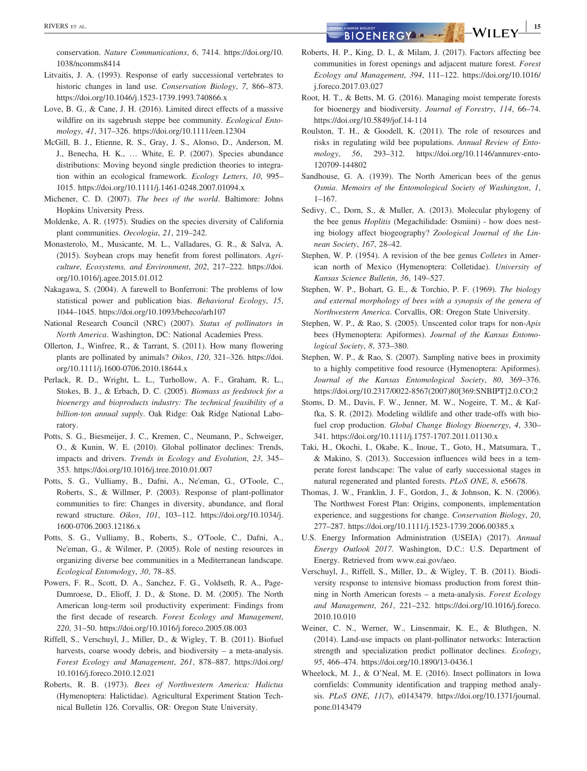conservation. *Nature Communications*, *6*, 7414. [https://doi.org/10.](https://doi.org/10.1038/ncomms8414) [1038/ncomms8414](https://doi.org/10.1038/ncomms8414)

- Litvaitis, J. A. (1993). Response of early successional vertebrates to historic changes in land use. *Conservation Biology*, *7*, 866–873. <https://doi.org/10.1046/j.1523-1739.1993.740866.x>
- Love, B. G., & Cane, J. H. (2016). Limited direct effects of a massive wildfire on its sagebrush steppe bee community. *Ecological Entomology*, *41*, 317–326.<https://doi.org/10.1111/een.12304>
- McGill, B. J., Etienne, R. S., Gray, J. S., Alonso, D., Anderson, M. J., Benecha, H. K., … White, E. P. (2007). Species abundance distributions: Moving beyond single prediction theories to integration within an ecological framework. *Ecology Letters*, *10*, 995– 1015.<https://doi.org/10.1111/j.1461-0248.2007.01094.x>
- Michener, C. D. (2007). *The bees of the world*. Baltimore: Johns Hopkins University Press.
- Moldenke, A. R. (1975). Studies on the species diversity of California plant communities. *Oecologia*, *21*, 219–242.
- Monasterolo, M., Musicante, M. L., Valladares, G. R., & Salva, A. (2015). Soybean crops may benefit from forest pollinators. *Agriculture, Ecosystems, and Environment*, *202*, 217–222. [https://doi.](https://doi.org/10.1016/j.agee.2015.01.012) [org/10.1016/j.agee.2015.01.012](https://doi.org/10.1016/j.agee.2015.01.012)
- Nakagawa, S. (2004). A farewell to Bonferroni: The problems of low statistical power and publication bias. *Behavioral Ecology*, *15*, 1044–1045.<https://doi.org/10.1093/beheco/arh107>
- National Research Council (NRC) (2007). *Status of pollinators in North America*. Washington, DC: National Academies Press.
- Ollerton, J., Winfree, R., & Tarrant, S. (2011). How many flowering plants are pollinated by animals? *Oikos*, *120*, 321–326. [https://doi.](https://doi.org/10.1111/j.1600-0706.2010.18644.x) [org/10.1111/j.1600-0706.2010.18644.x](https://doi.org/10.1111/j.1600-0706.2010.18644.x)
- Perlack, R. D., Wright, L. L., Turhollow, A. F., Graham, R. L., Stokes, B. J., & Erbach, D. C. (2005). *Biomass as feedstock for a bioenergy and bioproducts industry: The technical feasibility of a billion‐ton annual supply*. Oak Ridge: Oak Ridge National Laboratory.
- Potts, S. G., Biesmeijer, J. C., Kremen, C., Neumann, P., Schweiger, O., & Kunin, W. E. (2010). Global pollinator declines: Trends, impacts and drivers. *Trends in Ecology and Evolution*, *23*, 345– 353.<https://doi.org/10.1016/j.tree.2010.01.007>
- Potts, S. G., Vulliamy, B., Dafni, A., Ne'eman, G., O'Toole, C., Roberts, S., & Willmer, P. (2003). Response of plant‐pollinator communities to fire: Changes in diversity, abundance, and floral reward structure. *Oikos*, *101*, 103–112. [https://doi.org/10.1034/j.](https://doi.org/10.1034/j.1600-0706.2003.12186.x) [1600-0706.2003.12186.x](https://doi.org/10.1034/j.1600-0706.2003.12186.x)
- Potts, S. G., Vulliamy, B., Roberts, S., O'Toole, C., Dafni, A., Ne'eman, G., & Wilmer, P. (2005). Role of nesting resources in organizing diverse bee communities in a Mediterranean landscape. *Ecological Entomology*, *30*, 78–85.
- Powers, F. R., Scott, D. A., Sanchez, F. G., Voldseth, R. A., Page-Dumroese, D., Elioff, J. D., & Stone, D. M. (2005). The North American long‐term soil productivity experiment: Findings from the first decade of research. *Forest Ecology and Management*, *220*, 31–50.<https://doi.org/10.1016/j.foreco.2005.08.003>
- Riffell, S., Verschuyl, J., Miller, D., & Wigley, T. B. (2011). Biofuel harvests, coarse woody debris, and biodiversity – a meta-analysis. *Forest Ecology and Management*, *261*, 878–887. [https://doi.org/](https://doi.org/10.1016/j.foreco.2010.12.021) [10.1016/j.foreco.2010.12.021](https://doi.org/10.1016/j.foreco.2010.12.021)
- Roberts, R. B. (1973). *Bees of Northwestern America: Halictus* (Hymenoptera: Halictidae). Agricultural Experiment Station Technical Bulletin 126. Corvallis, OR: Oregon State University.
- Roberts, H. P., King, D. I., & Milam, J. (2017). Factors affecting bee communities in forest openings and adjacent mature forest. *Forest Ecology and Management*, *394*, 111–122. [https://doi.org/10.1016/](https://doi.org/10.1016/j.foreco.2017.03.027) [j.foreco.2017.03.027](https://doi.org/10.1016/j.foreco.2017.03.027)
- Root, H. T., & Betts, M. G. (2016). Managing moist temperate forests for bioenergy and biodiversity. *Journal of Forestry*, *114*, 66–74. <https://doi.org/10.5849/jof.14-114>
- Roulston, T. H., & Goodell, K. (2011). The role of resources and risks in regulating wild bee populations. *Annual Review of Entomology*, *56*, 293–312. [https://doi.org/10.1146/annurev-ento-](https://doi.org/10.1146/annurev-ento-120709-144802)[120709-144802](https://doi.org/10.1146/annurev-ento-120709-144802)
- Sandhouse, G. A. (1939). The North American bees of the genus *Osmia*. *Memoirs of the Entomological Society of Washington*, *1*, 1–167.
- Sedivy, C., Dorn, S., & Muller, A. (2013). Molecular phylogeny of the bee genus *Hoplitis* (Megachilidade: Osmiini) ‐ how does nesting biology affect biogeography? *Zoological Journal of the Linnean Society*, *167*, 28–42.
- Stephen, W. P. (1954). A revision of the bee genus *Colletes* in American north of Mexico (Hymenoptera: Colletidae). *University of Kansas Science Bulletin*, *36*, 149–527.
- Stephen, W. P., Bohart, G. E., & Torchio, P. F. (1969). *The biology and external morphology of bees with a synopsis of the genera of Northwestern America*. Corvallis, OR: Oregon State University.
- Stephen, W. P., & Rao, S. (2005). Unscented color traps for non‐*Apis* bees (Hymenoptera: Apiformes). *Journal of the Kansas Entomological Society*, *8*, 373–380.
- Stephen, W. P., & Rao, S. (2007). Sampling native bees in proximity to a highly competitive food resource (Hymenoptera: Apiformes). *Journal of the Kansas Entomological Society*, *80*, 369–376. [https://doi.org/10.2317/0022-8567\(2007\)80\[369:SNBIPT\]2.0.CO;2](https://doi.org/10.2317/0022-8567(2007)80[369:SNBIPT]2.0.CO;2)
- Stoms, D. M., Davis, F. W., Jenner, M. W., Nogeire, T. M., & Kaffka, S. R. (2012). Modeling wildlife and other trade-offs with biofuel crop production. *Global Change Biology Bioenergy*, *4*, 330– 341.<https://doi.org/10.1111/j.1757-1707.2011.01130.x>
- Taki, H., Okochi, I., Okabe, K., Inoue, T., Goto, H., Matsumara, T., & Makino, S. (2013). Succession influences wild bees in a temperate forest landscape: The value of early successional stages in natural regenerated and planted forests. *PLoS ONE*, *8*, e56678.
- Thomas, J. W., Franklin, J. F., Gordon, J., & Johnson, K. N. (2006). The Northwest Forest Plan: Origins, components, implementation experience, and suggestions for change. *Conservation Biology*, *20*, 277–287.<https://doi.org/10.1111/j.1523-1739.2006.00385.x>
- U.S. Energy Information Administration (USEIA) (2017). *Annual Energy Outlook 2017*. Washington, D.C.: U.S. Department of Energy. Retrieved from<www.eai.gov/aeo>.
- Verschuyl, J., Riffell, S., Miller, D., & Wigley, T. B. (2011). Biodiversity response to intensive biomass production from forest thinning in North American forests – a meta‐analysis. *Forest Ecology and Management*, *261*, 221–232. [https://doi.org/10.1016/j.foreco.](https://doi.org/10.1016/j.foreco.2010.10.010) [2010.10.010](https://doi.org/10.1016/j.foreco.2010.10.010)
- Weiner, C. N., Werner, W., Linsenmair, K. E., & Bluthgen, N. (2014). Land‐use impacts on plant‐pollinator networks: Interaction strength and specialization predict pollinator declines. *Ecology*, *95*, 466–474.<https://doi.org/10.1890/13-0436.1>
- Wheelock, M. J., & O'Neal, M. E. (2016). Insect pollinators in Iowa cornfields: Community identification and trapping method analysis. *PLoS ONE*, *11*(7), e0143479. [https://doi.org/10.1371/journal.](https://doi.org/10.1371/journal.pone.0143479) [pone.0143479](https://doi.org/10.1371/journal.pone.0143479)